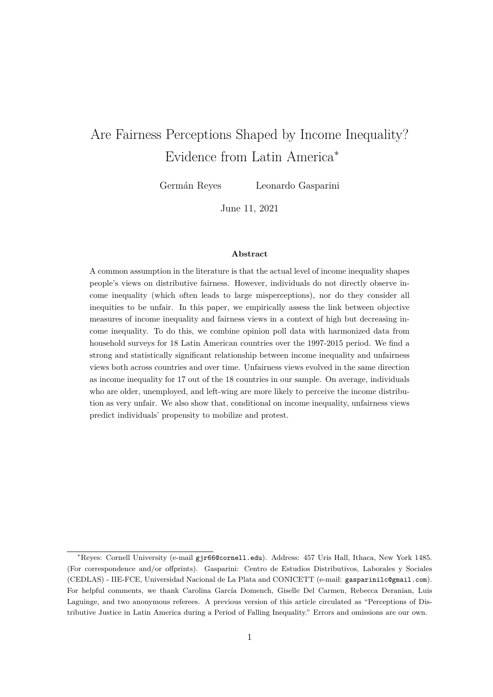# <span id="page-0-0"></span>Are Fairness Perceptions Shaped by Income Inequality? Evidence from Latin America<sup>∗</sup>

Germán Reyes Leonardo Gasparini

June 11, 2021

#### **Abstract**

A common assumption in the literature is that the actual level of income inequality shapes people's views on distributive fairness. However, individuals do not directly observe income inequality (which often leads to large misperceptions), nor do they consider all inequities to be unfair. In this paper, we empirically assess the link between objective measures of income inequality and fairness views in a context of high but decreasing income inequality. To do this, we combine opinion poll data with harmonized data from household surveys for 18 Latin American countries over the 1997-2015 period. We find a strong and statistically significant relationship between income inequality and unfairness views both across countries and over time. Unfairness views evolved in the same direction as income inequality for 17 out of the 18 countries in our sample. On average, individuals who are older, unemployed, and left-wing are more likely to perceive the income distribution as very unfair. We also show that, conditional on income inequality, unfairness views predict individuals' propensity to mobilize and protest.

<sup>∗</sup>Reyes: Cornell University (e-mail gjr66@cornell.edu). Address: 457 Uris Hall, Ithaca, New York 1485. (For correspondence and/or offprints). Gasparini: Centro de Estudios Distributivos, Laborales y Sociales (CEDLAS) - IIE-FCE, Universidad Nacional de La Plata and CONICETT (e-mail: gasparinilc@gmail.com). For helpful comments, we thank Carolina García Domench, Giselle Del Carmen, Rebecca Deranian, Luis Laguinge, and two anonymous referees. A previous version of this article circulated as "Perceptions of Distributive Justice in Latin America during a Period of Falling Inequality." Errors and omissions are our own.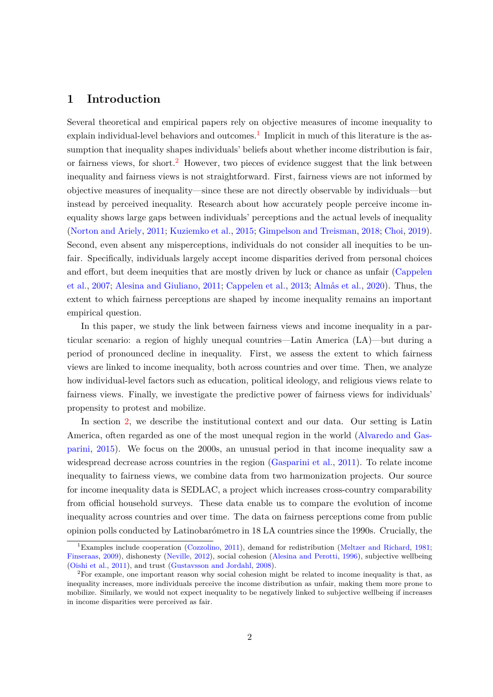## **1 Introduction**

Several theoretical and empirical papers rely on objective measures of income inequality to  $\alpha$  explain individual-level behaviors and outcomes.<sup>[1](#page-0-0)</sup> Implicit in much of this literature is the assumption that inequality shapes individuals' beliefs about whether income distribution is fair, or fairness views, for short.<sup>[2](#page-0-0)</sup> However, two pieces of evidence suggest that the link between inequality and fairness views is not straightforward. First, fairness views are not informed by objective measures of inequality—since these are not directly observable by individuals—but instead by perceived inequality. Research about how accurately people perceive income inequality shows large gaps between individuals' perceptions and the actual levels of inequality [\(Norton and Ariely,](#page-25-0) [2011;](#page-25-0) [Kuziemko et al.,](#page-24-0) [2015;](#page-24-0) [Gimpelson and Treisman,](#page-24-1) [2018;](#page-24-1) [Choi,](#page-23-0) [2019\)](#page-23-0). Second, even absent any misperceptions, individuals do not consider all inequities to be unfair. Specifically, individuals largely accept income disparities derived from personal choices and effort, but deem inequities that are mostly driven by luck or chance as unfair [\(Cappelen](#page-23-1) [et al.,](#page-23-1) [2007;](#page-23-1) [Alesina and Giuliano,](#page-23-2) [2011;](#page-23-2) [Cappelen et al.,](#page-23-3) [2013;](#page-23-3) [Almås et al.,](#page-23-4) [2020\)](#page-23-4). Thus, the extent to which fairness perceptions are shaped by income inequality remains an important empirical question.

In this paper, we study the link between fairness views and income inequality in a particular scenario: a region of highly unequal countries—Latin America (LA)—but during a period of pronounced decline in inequality. First, we assess the extent to which fairness views are linked to income inequality, both across countries and over time. Then, we analyze how individual-level factors such as education, political ideology, and religious views relate to fairness views. Finally, we investigate the predictive power of fairness views for individuals' propensity to protest and mobilize.

In section [2,](#page-4-0) we describe the institutional context and our data. Our setting is Latin America, often regarded as one of the most unequal region in the world [\(Alvaredo and Gas](#page-23-5)[parini,](#page-23-5) [2015\)](#page-23-5). We focus on the 2000s, an unusual period in that income inequality saw a widespread decrease across countries in the region [\(Gasparini et al.,](#page-24-2) [2011\)](#page-24-2). To relate income inequality to fairness views, we combine data from two harmonization projects. Our source for income inequality data is SEDLAC, a project which increases cross-country comparability from official household surveys. These data enable us to compare the evolution of income inequality across countries and over time. The data on fairness perceptions come from public opinion polls conducted by Latinobarómetro in 18 LA countries since the 1990s. Crucially, the

<sup>&</sup>lt;sup>1</sup>Examples include cooperation [\(Cozzolino,](#page-23-6) [2011\)](#page-23-6), demand for redistribution [\(Meltzer and Richard,](#page-24-3) [1981;](#page-24-3) [Finseraas,](#page-24-4) [2009\)](#page-24-4), dishonesty [\(Neville,](#page-25-1) [2012\)](#page-25-1), social cohesion [\(Alesina and Perotti,](#page-23-7) [1996\)](#page-23-7), subjective wellbeing [\(Oishi et al.,](#page-25-2) [2011\)](#page-25-2), and trust [\(Gustavsson and Jordahl,](#page-24-5) [2008\)](#page-24-5).

<sup>2</sup>For example, one important reason why social cohesion might be related to income inequality is that, as inequality increases, more individuals perceive the income distribution as unfair, making them more prone to mobilize. Similarly, we would not expect inequality to be negatively linked to subjective wellbeing if increases in income disparities were perceived as fair.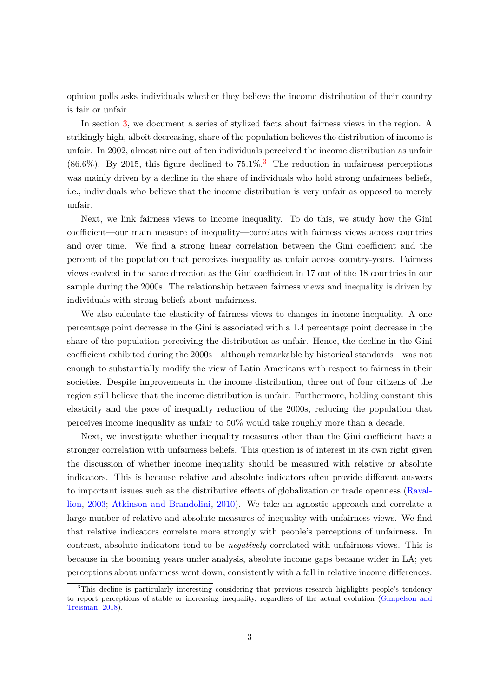opinion polls asks individuals whether they believe the income distribution of their country is fair or unfair.

In section [3,](#page-6-0) we document a series of stylized facts about fairness views in the region. A strikingly high, albeit decreasing, share of the population believes the distribution of income is unfair. In 2002, almost nine out of ten individuals perceived the income distribution as unfair  $(86.6\%)$ . By 2015, this figure declined to  $75.1\%$ <sup>[3](#page-0-0)</sup>. The reduction in unfairness perceptions was mainly driven by a decline in the share of individuals who hold strong unfairness beliefs, i.e., individuals who believe that the income distribution is very unfair as opposed to merely unfair.

Next, we link fairness views to income inequality. To do this, we study how the Gini coefficient—our main measure of inequality—correlates with fairness views across countries and over time. We find a strong linear correlation between the Gini coefficient and the percent of the population that perceives inequality as unfair across country-years. Fairness views evolved in the same direction as the Gini coefficient in 17 out of the 18 countries in our sample during the 2000s. The relationship between fairness views and inequality is driven by individuals with strong beliefs about unfairness.

We also calculate the elasticity of fairness views to changes in income inequality. A one percentage point decrease in the Gini is associated with a 1.4 percentage point decrease in the share of the population perceiving the distribution as unfair. Hence, the decline in the Gini coefficient exhibited during the 2000s—although remarkable by historical standards—was not enough to substantially modify the view of Latin Americans with respect to fairness in their societies. Despite improvements in the income distribution, three out of four citizens of the region still believe that the income distribution is unfair. Furthermore, holding constant this elasticity and the pace of inequality reduction of the 2000s, reducing the population that perceives income inequality as unfair to 50% would take roughly more than a decade.

Next, we investigate whether inequality measures other than the Gini coefficient have a stronger correlation with unfairness beliefs. This question is of interest in its own right given the discussion of whether income inequality should be measured with relative or absolute indicators. This is because relative and absolute indicators often provide different answers to important issues such as the distributive effects of globalization or trade openness [\(Raval](#page-25-3)[lion,](#page-25-3) [2003;](#page-25-3) [Atkinson and Brandolini,](#page-23-8) [2010\)](#page-23-8). We take an agnostic approach and correlate a large number of relative and absolute measures of inequality with unfairness views. We find that relative indicators correlate more strongly with people's perceptions of unfairness. In contrast, absolute indicators tend to be *negatively* correlated with unfairness views. This is because in the booming years under analysis, absolute income gaps became wider in LA; yet perceptions about unfairness went down, consistently with a fall in relative income differences.

<sup>&</sup>lt;sup>3</sup>This decline is particularly interesting considering that previous research highlights people's tendency to report perceptions of stable or increasing inequality, regardless of the actual evolution [\(Gimpelson and](#page-24-1) [Treisman,](#page-24-1) [2018\)](#page-24-1).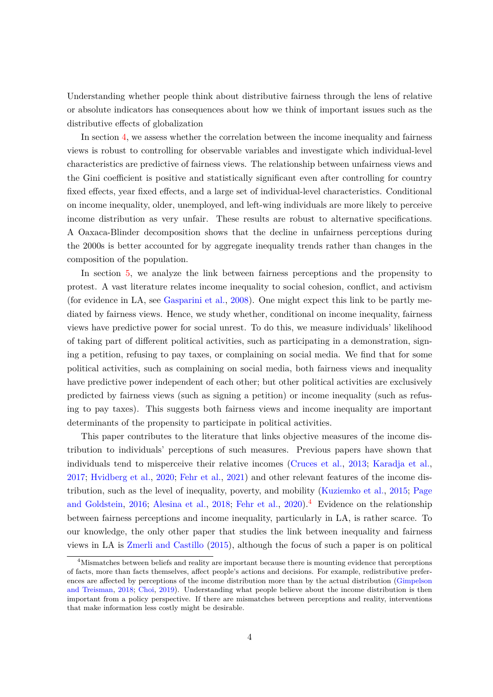Understanding whether people think about distributive fairness through the lens of relative or absolute indicators has consequences about how we think of important issues such as the distributive effects of globalization

In section [4,](#page-10-0) we assess whether the correlation between the income inequality and fairness views is robust to controlling for observable variables and investigate which individual-level characteristics are predictive of fairness views. The relationship between unfairness views and the Gini coefficient is positive and statistically significant even after controlling for country fixed effects, year fixed effects, and a large set of individual-level characteristics. Conditional on income inequality, older, unemployed, and left-wing individuals are more likely to perceive income distribution as very unfair. These results are robust to alternative specifications. A Oaxaca-Blinder decomposition shows that the decline in unfairness perceptions during the 2000s is better accounted for by aggregate inequality trends rather than changes in the composition of the population.

In section [5,](#page-14-0) we analyze the link between fairness perceptions and the propensity to protest. A vast literature relates income inequality to social cohesion, conflict, and activism (for evidence in LA, see [Gasparini et al.,](#page-24-6) [2008\)](#page-24-6). One might expect this link to be partly mediated by fairness views. Hence, we study whether, conditional on income inequality, fairness views have predictive power for social unrest. To do this, we measure individuals' likelihood of taking part of different political activities, such as participating in a demonstration, signing a petition, refusing to pay taxes, or complaining on social media. We find that for some political activities, such as complaining on social media, both fairness views and inequality have predictive power independent of each other; but other political activities are exclusively predicted by fairness views (such as signing a petition) or income inequality (such as refusing to pay taxes). This suggests both fairness views and income inequality are important determinants of the propensity to participate in political activities.

This paper contributes to the literature that links objective measures of the income distribution to individuals' perceptions of such measures. Previous papers have shown that individuals tend to misperceive their relative incomes [\(Cruces et al.,](#page-23-9) [2013;](#page-23-9) [Karadja et al.,](#page-24-7) [2017;](#page-24-7) [Hvidberg et al.,](#page-24-8) [2020;](#page-24-8) [Fehr et al.,](#page-24-9) [2021\)](#page-24-9) and other relevant features of the income distribution, such as the level of inequality, poverty, and mobility [\(Kuziemko et al.,](#page-24-0) [2015;](#page-24-0) [Page](#page-25-4) [and Goldstein,](#page-25-4) [2016;](#page-25-4) [Alesina et al.,](#page-23-10) [2018;](#page-23-10) [Fehr et al.,](#page-24-10) [2020\)](#page-24-10).<sup>[4](#page-0-0)</sup> Evidence on the relationship between fairness perceptions and income inequality, particularly in LA, is rather scarce. To our knowledge, the only other paper that studies the link between inequality and fairness views in LA is [Zmerli and Castillo](#page-25-5) [\(2015\)](#page-25-5), although the focus of such a paper is on political

<sup>4</sup>Mismatches between beliefs and reality are important because there is mounting evidence that perceptions of facts, more than facts themselves, affect people's actions and decisions. For example, redistributive preferences are affected by perceptions of the income distribution more than by the actual distribution [\(Gimpelson](#page-24-1) [and Treisman,](#page-24-1) [2018;](#page-24-1) [Choi,](#page-23-0) [2019\)](#page-23-0). Understanding what people believe about the income distribution is then important from a policy perspective. If there are mismatches between perceptions and reality, interventions that make information less costly might be desirable.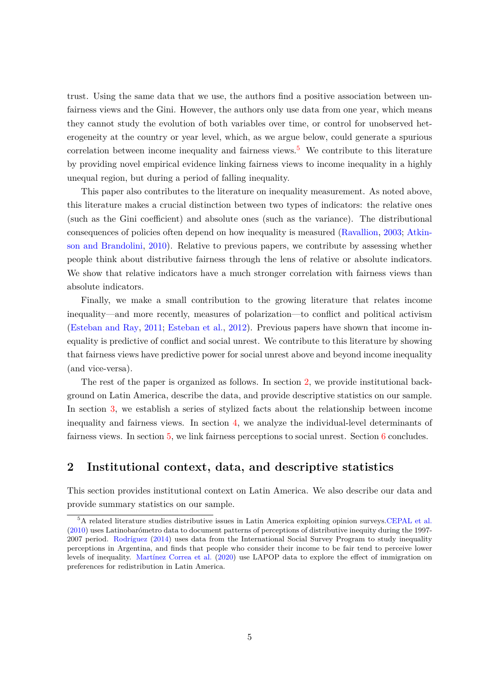trust. Using the same data that we use, the authors find a positive association between unfairness views and the Gini. However, the authors only use data from one year, which means they cannot study the evolution of both variables over time, or control for unobserved heterogeneity at the country or year level, which, as we argue below, could generate a spurious correlation between income inequality and fairness views.<sup>[5](#page-0-0)</sup> We contribute to this literature by providing novel empirical evidence linking fairness views to income inequality in a highly unequal region, but during a period of falling inequality.

This paper also contributes to the literature on inequality measurement. As noted above, this literature makes a crucial distinction between two types of indicators: the relative ones (such as the Gini coefficient) and absolute ones (such as the variance). The distributional consequences of policies often depend on how inequality is measured [\(Ravallion,](#page-25-3) [2003;](#page-25-3) [Atkin](#page-23-8)[son and Brandolini,](#page-23-8) [2010\)](#page-23-8). Relative to previous papers, we contribute by assessing whether people think about distributive fairness through the lens of relative or absolute indicators. We show that relative indicators have a much stronger correlation with fairness views than absolute indicators.

Finally, we make a small contribution to the growing literature that relates income inequality—and more recently, measures of polarization—to conflict and political activism [\(Esteban and Ray,](#page-24-11) [2011;](#page-24-11) [Esteban et al.,](#page-24-12) [2012\)](#page-24-12). Previous papers have shown that income inequality is predictive of conflict and social unrest. We contribute to this literature by showing that fairness views have predictive power for social unrest above and beyond income inequality (and vice-versa).

The rest of the paper is organized as follows. In section [2,](#page-4-0) we provide institutional background on Latin America, describe the data, and provide descriptive statistics on our sample. In section [3,](#page-6-0) we establish a series of stylized facts about the relationship between income inequality and fairness views. In section [4,](#page-10-0) we analyze the individual-level determinants of fairness views. In section [5,](#page-14-0) we link fairness perceptions to social unrest. Section [6](#page-15-0) concludes.

## <span id="page-4-0"></span>**2 Institutional context, data, and descriptive statistics**

This section provides institutional context on Latin America. We also describe our data and provide summary statistics on our sample.

<sup>5</sup>A related literature studies distributive issues in Latin America exploiting opinion surveys[.CEPAL et al.](#page-23-11) [\(2010\)](#page-23-11) uses Latinobarómetro data to document patterns of perceptions of distributive inequity during the 1997- 2007 period. [Rodríguez](#page-25-6) [\(2014\)](#page-25-6) uses data from the International Social Survey Program to study inequality perceptions in Argentina, and finds that people who consider their income to be fair tend to perceive lower levels of inequality. [Martínez Correa et al.](#page-24-13) [\(2020\)](#page-24-13) use LAPOP data to explore the effect of immigration on preferences for redistribution in Latin America.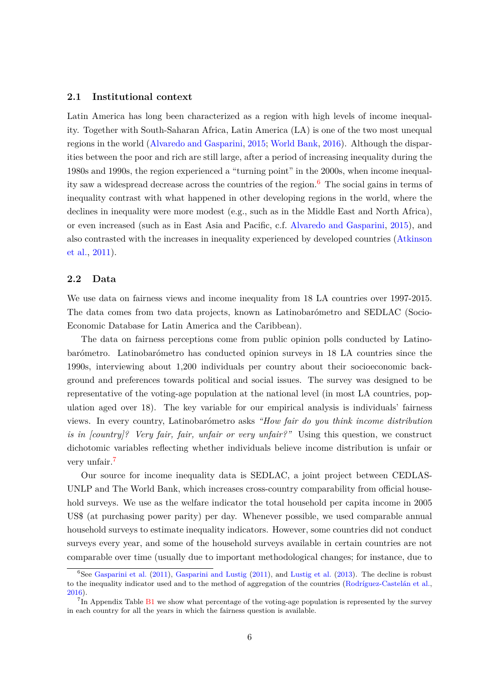#### **2.1 Institutional context**

Latin America has long been characterized as a region with high levels of income inequality. Together with South-Saharan Africa, Latin America (LA) is one of the two most unequal regions in the world [\(Alvaredo and Gasparini,](#page-23-5) [2015;](#page-23-5) [World Bank,](#page-25-7) [2016\)](#page-25-7). Although the disparities between the poor and rich are still large, after a period of increasing inequality during the 1980s and 1990s, the region experienced a "turning point" in the 2000s, when income inequal-ity saw a widespread decrease across the countries of the region.<sup>[6](#page-0-0)</sup> The social gains in terms of inequality contrast with what happened in other developing regions in the world, where the declines in inequality were more modest (e.g., such as in the Middle East and North Africa), or even increased (such as in East Asia and Pacific, c.f. [Alvaredo and Gasparini,](#page-23-5) [2015\)](#page-23-5), and also contrasted with the increases in inequality experienced by developed countries [\(Atkinson](#page-23-12) [et al.,](#page-23-12) [2011\)](#page-23-12).

#### **2.2 Data**

We use data on fairness views and income inequality from 18 LA countries over 1997-2015. The data comes from two data projects, known as Latinobarómetro and SEDLAC (Socio-Economic Database for Latin America and the Caribbean).

The data on fairness perceptions come from public opinion polls conducted by Latinobarómetro. Latinobarómetro has conducted opinion surveys in 18 LA countries since the 1990s, interviewing about 1,200 individuals per country about their socioeconomic background and preferences towards political and social issues. The survey was designed to be representative of the voting-age population at the national level (in most LA countries, population aged over 18). The key variable for our empirical analysis is individuals' fairness views. In every country, Latinobarómetro asks *"How fair do you think income distribution is in [country]? Very fair, fair, unfair or very unfair?"* Using this question, we construct dichotomic variables reflecting whether individuals believe income distribution is unfair or very unfair.<sup>[7](#page-0-0)</sup>

Our source for income inequality data is SEDLAC, a joint project between CEDLAS-UNLP and The World Bank, which increases cross-country comparability from official household surveys. We use as the welfare indicator the total household per capita income in 2005 US\$ (at purchasing power parity) per day. Whenever possible, we used comparable annual household surveys to estimate inequality indicators. However, some countries did not conduct surveys every year, and some of the household surveys available in certain countries are not comparable over time (usually due to important methodological changes; for instance, due to

 ${}^{6}$ See [Gasparini et al.](#page-24-2) [\(2011\)](#page-24-14), [Gasparini and Lustig](#page-24-14) (2011), and [Lustig et al.](#page-24-15) [\(2013\)](#page-24-15). The decline is robust to the inequality indicator used and to the method of aggregation of the countries [\(Rodríguez-Castelán et al.,](#page-25-8) [2016\)](#page-25-8).

<sup>&</sup>lt;sup>7</sup>In Appendix Table [B1](#page-34-0) we show what percentage of the voting-age population is represented by the survey in each country for all the years in which the fairness question is available.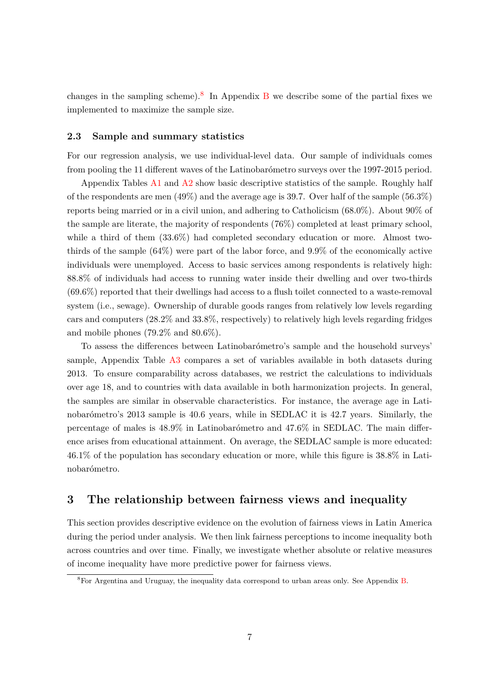changes in the sampling scheme).<sup>[8](#page-0-0)</sup> In Appendix  $\overline{B}$  $\overline{B}$  $\overline{B}$  we describe some of the partial fixes we implemented to maximize the sample size.

#### **2.3 Sample and summary statistics**

For our regression analysis, we use individual-level data. Our sample of individuals comes from pooling the 11 different waves of the Latinobarómetro surveys over the 1997-2015 period.

Appendix Tables  $A1$  and  $A2$  show basic descriptive statistics of the sample. Roughly half of the respondents are men  $(49\%)$  and the average age is 39.7. Over half of the sample  $(56.3\%)$ reports being married or in a civil union, and adhering to Catholicism (68.0%). About 90% of the sample are literate, the majority of respondents (76%) completed at least primary school, while a third of them  $(33.6\%)$  had completed secondary education or more. Almost twothirds of the sample (64%) were part of the labor force, and 9.9% of the economically active individuals were unemployed. Access to basic services among respondents is relatively high: 88.8% of individuals had access to running water inside their dwelling and over two-thirds  $(69.6\%)$  reported that their dwellings had access to a flush toilet connected to a waste-removal system (i.e., sewage). Ownership of durable goods ranges from relatively low levels regarding cars and computers (28.2% and 33.8%, respectively) to relatively high levels regarding fridges and mobile phones (79.2% and 80.6%).

To assess the differences between Latinobarómetro's sample and the household surveys' sample, Appendix Table [A3](#page-30-0) compares a set of variables available in both datasets during 2013. To ensure comparability across databases, we restrict the calculations to individuals over age 18, and to countries with data available in both harmonization projects. In general, the samples are similar in observable characteristics. For instance, the average age in Latinobarómetro's 2013 sample is 40.6 years, while in SEDLAC it is 42.7 years. Similarly, the percentage of males is 48.9% in Latinobarómetro and 47.6% in SEDLAC. The main difference arises from educational attainment. On average, the SEDLAC sample is more educated: 46.1% of the population has secondary education or more, while this figure is 38.8% in Latinobarómetro.

## <span id="page-6-0"></span>**3 The relationship between fairness views and inequality**

This section provides descriptive evidence on the evolution of fairness views in Latin America during the period under analysis. We then link fairness perceptions to income inequality both across countries and over time. Finally, we investigate whether absolute or relative measures of income inequality have more predictive power for fairness views.

<sup>8</sup>For Argentina and Uruguay, the inequality data correspond to urban areas only. See Appendix [B.](#page-34-1)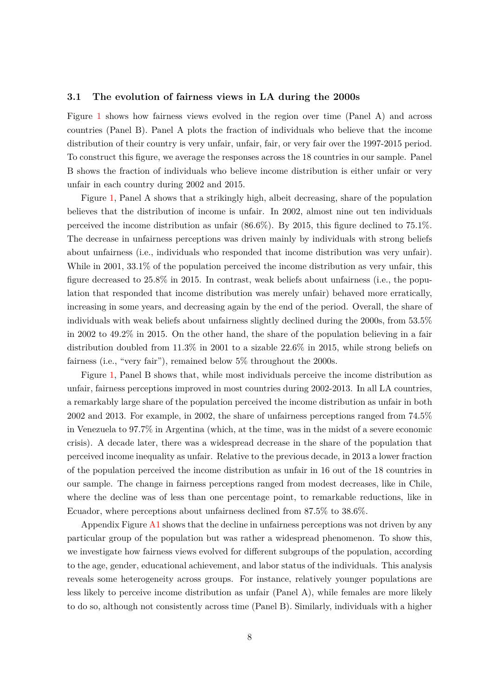#### **3.1 The evolution of fairness views in LA during the 2000s**

Figure [1](#page-17-0) shows how fairness views evolved in the region over time (Panel A) and across countries (Panel B). Panel A plots the fraction of individuals who believe that the income distribution of their country is very unfair, unfair, fair, or very fair over the 1997-2015 period. To construct this figure, we average the responses across the 18 countries in our sample. Panel B shows the fraction of individuals who believe income distribution is either unfair or very unfair in each country during 2002 and 2015.

Figure [1,](#page-17-0) Panel A shows that a strikingly high, albeit decreasing, share of the population believes that the distribution of income is unfair. In 2002, almost nine out ten individuals perceived the income distribution as unfair (86.6%). By 2015, this figure declined to 75.1%. The decrease in unfairness perceptions was driven mainly by individuals with strong beliefs about unfairness (i.e., individuals who responded that income distribution was very unfair). While in 2001, 33.1% of the population perceived the income distribution as very unfair, this figure decreased to 25.8% in 2015. In contrast, weak beliefs about unfairness (i.e., the population that responded that income distribution was merely unfair) behaved more erratically, increasing in some years, and decreasing again by the end of the period. Overall, the share of individuals with weak beliefs about unfairness slightly declined during the 2000s, from 53.5% in 2002 to 49.2% in 2015. On the other hand, the share of the population believing in a fair distribution doubled from 11.3% in 2001 to a sizable 22.6% in 2015, while strong beliefs on fairness (i.e., "very fair"), remained below 5% throughout the 2000s.

Figure [1,](#page-17-0) Panel B shows that, while most individuals perceive the income distribution as unfair, fairness perceptions improved in most countries during 2002-2013. In all LA countries, a remarkably large share of the population perceived the income distribution as unfair in both 2002 and 2013. For example, in 2002, the share of unfairness perceptions ranged from 74.5% in Venezuela to 97.7% in Argentina (which, at the time, was in the midst of a severe economic crisis). A decade later, there was a widespread decrease in the share of the population that perceived income inequality as unfair. Relative to the previous decade, in 2013 a lower fraction of the population perceived the income distribution as unfair in 16 out of the 18 countries in our sample. The change in fairness perceptions ranged from modest decreases, like in Chile, where the decline was of less than one percentage point, to remarkable reductions, like in Ecuador, where perceptions about unfairness declined from 87.5% to 38.6%.

Appendix Figure [A1](#page-26-0) shows that the decline in unfairness perceptions was not driven by any particular group of the population but was rather a widespread phenomenon. To show this, we investigate how fairness views evolved for different subgroups of the population, according to the age, gender, educational achievement, and labor status of the individuals. This analysis reveals some heterogeneity across groups. For instance, relatively younger populations are less likely to perceive income distribution as unfair (Panel A), while females are more likely to do so, although not consistently across time (Panel B). Similarly, individuals with a higher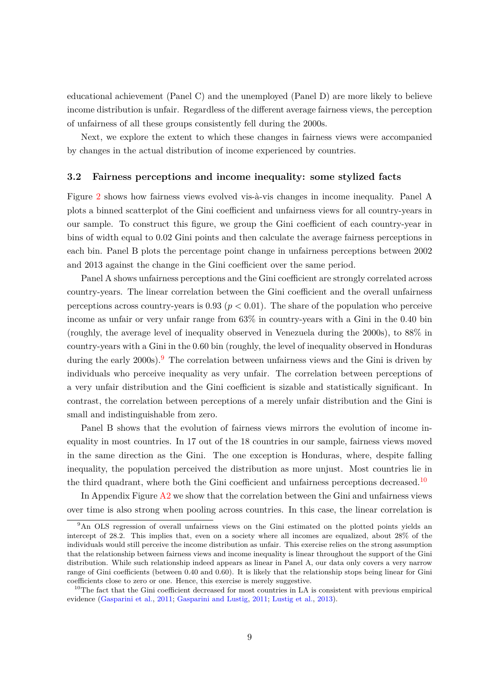educational achievement (Panel C) and the unemployed (Panel D) are more likely to believe income distribution is unfair. Regardless of the different average fairness views, the perception of unfairness of all these groups consistently fell during the 2000s.

Next, we explore the extent to which these changes in fairness views were accompanied by changes in the actual distribution of income experienced by countries.

#### **3.2 Fairness perceptions and income inequality: some stylized facts**

Figure [2](#page-18-0) shows how fairness views evolved vis-à-vis changes in income inequality. Panel A plots a binned scatterplot of the Gini coefficient and unfairness views for all country-years in our sample. To construct this figure, we group the Gini coefficient of each country-year in bins of width equal to 0.02 Gini points and then calculate the average fairness perceptions in each bin. Panel B plots the percentage point change in unfairness perceptions between 2002 and 2013 against the change in the Gini coefficient over the same period.

Panel A shows unfairness perceptions and the Gini coefficient are strongly correlated across country-years. The linear correlation between the Gini coefficient and the overall unfairness perceptions across country-years is  $0.93$  ( $p < 0.01$ ). The share of the population who perceive income as unfair or very unfair range from 63% in country-years with a Gini in the 0.40 bin (roughly, the average level of inequality observed in Venezuela during the 2000s), to 88% in country-years with a Gini in the 0.60 bin (roughly, the level of inequality observed in Honduras during the early  $2000s$ .<sup>[9](#page-0-0)</sup> The correlation between unfairness views and the Gini is driven by individuals who perceive inequality as very unfair. The correlation between perceptions of a very unfair distribution and the Gini coefficient is sizable and statistically significant. In contrast, the correlation between perceptions of a merely unfair distribution and the Gini is small and indistinguishable from zero.

Panel B shows that the evolution of fairness views mirrors the evolution of income inequality in most countries. In 17 out of the 18 countries in our sample, fairness views moved in the same direction as the Gini. The one exception is Honduras, where, despite falling inequality, the population perceived the distribution as more unjust. Most countries lie in the third quadrant, where both the Gini coefficient and unfairness perceptions decreased.<sup>[10](#page-0-0)</sup>

In Appendix Figure [A2](#page-27-0) we show that the correlation between the Gini and unfairness views over time is also strong when pooling across countries. In this case, the linear correlation is

<sup>&</sup>lt;sup>9</sup>An OLS regression of overall unfairness views on the Gini estimated on the plotted points yields an intercept of 28.2. This implies that, even on a society where all incomes are equalized, about 28% of the individuals would still perceive the income distribution as unfair. This exercise relies on the strong assumption that the relationship between fairness views and income inequality is linear throughout the support of the Gini distribution. While such relationship indeed appears as linear in Panel A, our data only covers a very narrow range of Gini coefficients (between 0.40 and 0.60). It is likely that the relationship stops being linear for Gini coefficients close to zero or one. Hence, this exercise is merely suggestive.

 $10$ The fact that the Gini coefficient decreased for most countries in LA is consistent with previous empirical evidence [\(Gasparini et al.,](#page-24-2) [2011;](#page-24-2) [Gasparini and Lustig,](#page-24-14) [2011;](#page-24-14) [Lustig et al.,](#page-24-15) [2013\)](#page-24-15).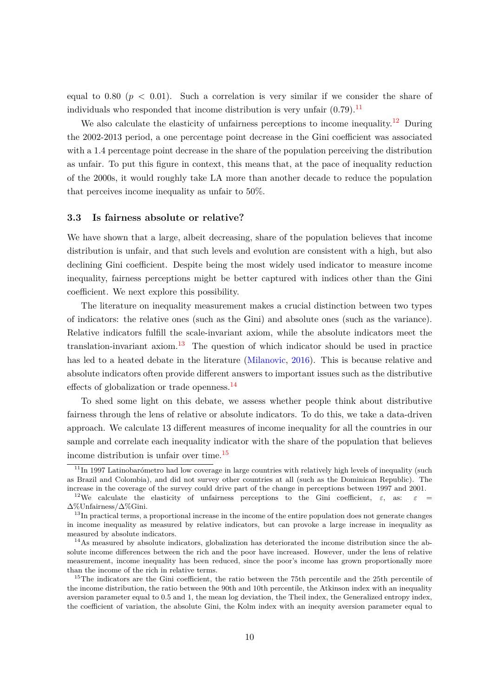equal to 0.80 ( $p < 0.01$ ). Such a correlation is very similar if we consider the share of individuals who responded that income distribution is very unfair  $(0.79)$ .<sup>[11](#page-0-0)</sup>

We also calculate the elasticity of unfairness perceptions to income inequality.<sup>[12](#page-0-0)</sup> During the 2002-2013 period, a one percentage point decrease in the Gini coefficient was associated with a 1.4 percentage point decrease in the share of the population perceiving the distribution as unfair. To put this figure in context, this means that, at the pace of inequality reduction of the 2000s, it would roughly take LA more than another decade to reduce the population that perceives income inequality as unfair to 50%.

#### **3.3 Is fairness absolute or relative?**

We have shown that a large, albeit decreasing, share of the population believes that income distribution is unfair, and that such levels and evolution are consistent with a high, but also declining Gini coefficient. Despite being the most widely used indicator to measure income inequality, fairness perceptions might be better captured with indices other than the Gini coefficient. We next explore this possibility.

The literature on inequality measurement makes a crucial distinction between two types of indicators: the relative ones (such as the Gini) and absolute ones (such as the variance). Relative indicators fulfill the scale-invariant axiom, while the absolute indicators meet the translation-invariant axiom.<sup>[13](#page-0-0)</sup> The question of which indicator should be used in practice has led to a heated debate in the literature [\(Milanovic,](#page-25-9) [2016\)](#page-25-9). This is because relative and absolute indicators often provide different answers to important issues such as the distributive effects of globalization or trade openness.[14](#page-0-0)

To shed some light on this debate, we assess whether people think about distributive fairness through the lens of relative or absolute indicators. To do this, we take a data-driven approach. We calculate 13 different measures of income inequality for all the countries in our sample and correlate each inequality indicator with the share of the population that believes income distribution is unfair over time. $15$ 

 $11$ In 1997 Latinobarómetro had low coverage in large countries with relatively high levels of inequality (such as Brazil and Colombia), and did not survey other countries at all (such as the Dominican Republic). The increase in the coverage of the survey could drive part of the change in perceptions between 1997 and 2001.

<sup>&</sup>lt;sup>12</sup>We calculate the elasticity of unfairness perceptions to the Gini coefficient,  $\varepsilon$ , as:  $\varepsilon$  = ∆%Unfairness*/*∆%Gini.

<sup>&</sup>lt;sup>13</sup>In practical terms, a proportional increase in the income of the entire population does not generate changes in income inequality as measured by relative indicators, but can provoke a large increase in inequality as measured by absolute indicators.

 $14$ As measured by absolute indicators, globalization has deteriorated the income distribution since the absolute income differences between the rich and the poor have increased. However, under the lens of relative measurement, income inequality has been reduced, since the poor's income has grown proportionally more than the income of the rich in relative terms.

<sup>&</sup>lt;sup>15</sup>The indicators are the Gini coefficient, the ratio between the 75th percentile and the 25th percentile of the income distribution, the ratio between the 90th and 10th percentile, the Atkinson index with an inequality aversion parameter equal to 0.5 and 1, the mean log deviation, the Theil index, the Generalized entropy index, the coefficient of variation, the absolute Gini, the Kolm index with an inequity aversion parameter equal to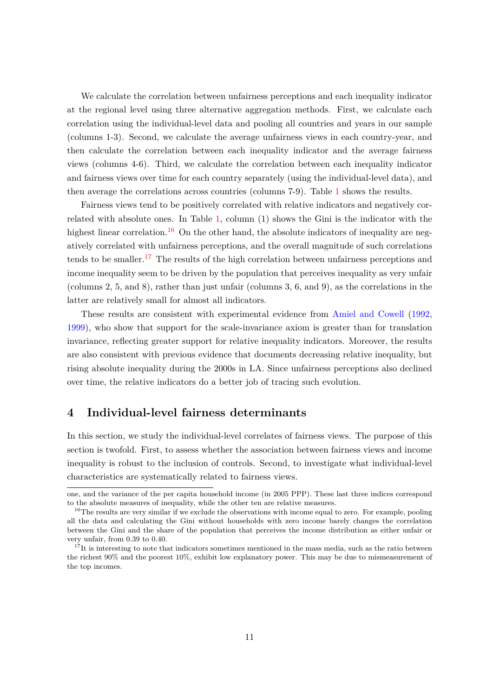We calculate the correlation between unfairness perceptions and each inequality indicator at the regional level using three alternative aggregation methods. First, we calculate each correlation using the individual-level data and pooling all countries and years in our sample (columns 1-3). Second, we calculate the average unfairness views in each country-year, and then calculate the correlation between each inequality indicator and the average fairness views (columns 4-6). Third, we calculate the correlation between each inequality indicator and fairness views over time for each country separately (using the individual-level data), and then average the correlations across countries (columns 7-9). Table [1](#page-20-0) shows the results.

Fairness views tend to be positively correlated with relative indicators and negatively correlated with absolute ones. In Table [1,](#page-20-0) column (1) shows the Gini is the indicator with the highest linear correlation.<sup>[16](#page-0-0)</sup> On the other hand, the absolute indicators of inequality are negatively correlated with unfairness perceptions, and the overall magnitude of such correlations tends to be smaller.<sup>[17](#page-0-0)</sup> The results of the high correlation between unfairness perceptions and income inequality seem to be driven by the population that perceives inequality as very unfair (columns 2, 5, and 8), rather than just unfair (columns 3, 6, and 9), as the correlations in the latter are relatively small for almost all indicators.

These results are consistent with experimental evidence from [Amiel and Cowell](#page-23-13) [\(1992,](#page-23-13) [1999\)](#page-23-14), who show that support for the scale-invariance axiom is greater than for translation invariance, reflecting greater support for relative inequality indicators. Moreover, the results are also consistent with previous evidence that documents decreasing relative inequality, but rising absolute inequality during the 2000s in LA. Since unfairness perceptions also declined over time, the relative indicators do a better job of tracing such evolution.

## <span id="page-10-0"></span>**4 Individual-level fairness determinants**

In this section, we study the individual-level correlates of fairness views. The purpose of this section is twofold. First, to assess whether the association between fairness views and income inequality is robust to the inclusion of controls. Second, to investigate what individual-level characteristics are systematically related to fairness views.

one, and the variance of the per capita household income (in 2005 PPP). These last three indices correspond to the absolute measures of inequality, while the other ten are relative measures.

<sup>&</sup>lt;sup>16</sup>The results are very similar if we exclude the observations with income equal to zero. For example, pooling all the data and calculating the Gini without households with zero income barely changes the correlation between the Gini and the share of the population that perceives the income distribution as either unfair or very unfair, from 0.39 to 0.40.

 $17$ <sup>T</sup>It is interesting to note that indicators sometimes mentioned in the mass media, such as the ratio between the richest 90% and the poorest 10%, exhibit low explanatory power. This may be due to mismeasurement of the top incomes.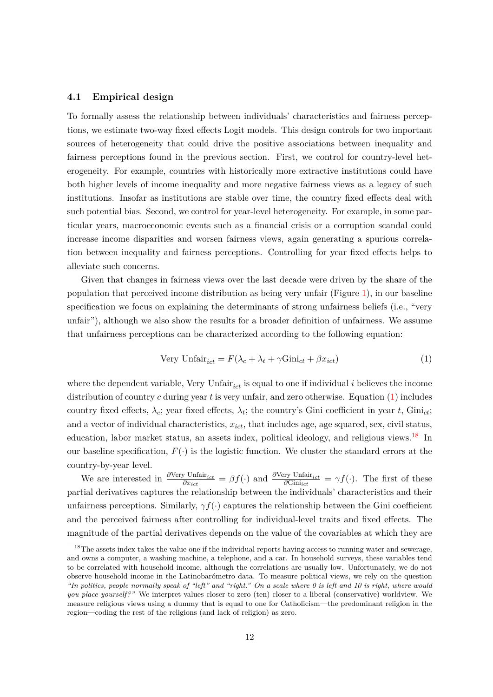#### **4.1 Empirical design**

To formally assess the relationship between individuals' characteristics and fairness perceptions, we estimate two-way fixed effects Logit models. This design controls for two important sources of heterogeneity that could drive the positive associations between inequality and fairness perceptions found in the previous section. First, we control for country-level heterogeneity. For example, countries with historically more extractive institutions could have both higher levels of income inequality and more negative fairness views as a legacy of such institutions. Insofar as institutions are stable over time, the country fixed effects deal with such potential bias. Second, we control for year-level heterogeneity. For example, in some particular years, macroeconomic events such as a financial crisis or a corruption scandal could increase income disparities and worsen fairness views, again generating a spurious correlation between inequality and fairness perceptions. Controlling for year fixed effects helps to alleviate such concerns.

Given that changes in fairness views over the last decade were driven by the share of the population that perceived income distribution as being very unfair (Figure [1\)](#page-17-0), in our baseline specification we focus on explaining the determinants of strong unfairness beliefs (i.e., "very unfair"), although we also show the results for a broader definition of unfairness. We assume that unfairness perceptions can be characterized according to the following equation:

<span id="page-11-0"></span>
$$
Very Unfair_{ict} = F(\lambda_c + \lambda_t + \gamma Gini_{ct} + \beta x_{ict})
$$
\n(1)

where the dependent variable, Very Unfair<sub>ict</sub> is equal to one if individual  $i$  believes the income distribution of country *c* during year *t* is very unfair, and zero otherwise. Equation [\(1\)](#page-11-0) includes country fixed effects,  $\lambda_c$ ; year fixed effects,  $\lambda_t$ ; the country's Gini coefficient in year t, Gini<sub>ct</sub>; and a vector of individual characteristics, *xict*, that includes age, age squared, sex, civil status, education, labor market status, an assets index, political ideology, and religious views.<sup>[18](#page-0-0)</sup> In our baseline specification,  $F(\cdot)$  is the logistic function. We cluster the standard errors at the country-by-year level.

We are interested in  $\frac{\partial \text{Very Unfair}_{ict}}{\partial x_{ict}} = \beta f(\cdot)$  and  $\frac{\partial \text{Very Unfair}_{ict}}{\partial \text{Gini}_{ict}} = \gamma f(\cdot)$ . The first of these partial derivatives captures the relationship between the individuals' characteristics and their unfairness perceptions. Similarly, *γf*(·) captures the relationship between the Gini coefficient and the perceived fairness after controlling for individual-level traits and fixed effects. The magnitude of the partial derivatives depends on the value of the covariables at which they are

<sup>&</sup>lt;sup>18</sup>The assets index takes the value one if the individual reports having access to running water and sewerage, and owns a computer, a washing machine, a telephone, and a car. In household surveys, these variables tend to be correlated with household income, although the correlations are usually low. Unfortunately, we do not observe household income in the Latinobarómetro data. To measure political views, we rely on the question *"In politics, people normally speak of "left" and "right." On a scale where 0 is left and 10 is right, where would you place yourself?"* We interpret values closer to zero (ten) closer to a liberal (conservative) worldview. We measure religious views using a dummy that is equal to one for Catholicism—the predominant religion in the region—coding the rest of the religions (and lack of religion) as zero.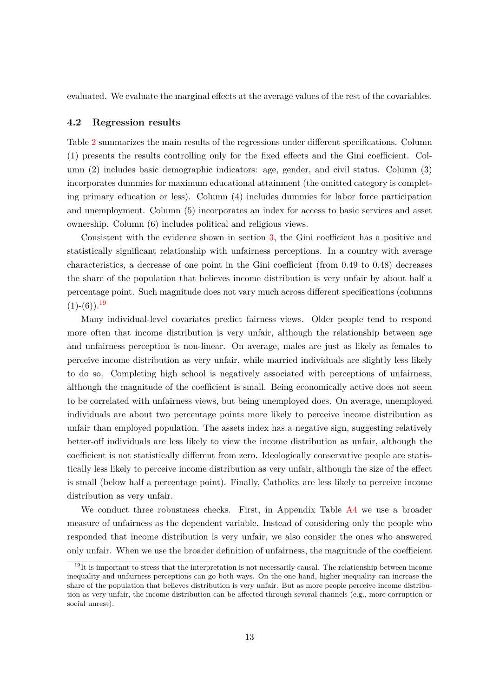evaluated. We evaluate the marginal effects at the average values of the rest of the covariables.

#### **4.2 Regression results**

Table [2](#page-21-0) summarizes the main results of the regressions under different specifications. Column (1) presents the results controlling only for the fixed effects and the Gini coefficient. Column (2) includes basic demographic indicators: age, gender, and civil status. Column (3) incorporates dummies for maximum educational attainment (the omitted category is completing primary education or less). Column (4) includes dummies for labor force participation and unemployment. Column (5) incorporates an index for access to basic services and asset ownership. Column (6) includes political and religious views.

Consistent with the evidence shown in section [3,](#page-6-0) the Gini coefficient has a positive and statistically significant relationship with unfairness perceptions. In a country with average characteristics, a decrease of one point in the Gini coefficient (from 0.49 to 0.48) decreases the share of the population that believes income distribution is very unfair by about half a percentage point. Such magnitude does not vary much across different specifications (columns  $(1)-(6)$ ).<sup>[19](#page-0-0)</sup>

Many individual-level covariates predict fairness views. Older people tend to respond more often that income distribution is very unfair, although the relationship between age and unfairness perception is non-linear. On average, males are just as likely as females to perceive income distribution as very unfair, while married individuals are slightly less likely to do so. Completing high school is negatively associated with perceptions of unfairness, although the magnitude of the coefficient is small. Being economically active does not seem to be correlated with unfairness views, but being unemployed does. On average, unemployed individuals are about two percentage points more likely to perceive income distribution as unfair than employed population. The assets index has a negative sign, suggesting relatively better-off individuals are less likely to view the income distribution as unfair, although the coefficient is not statistically different from zero. Ideologically conservative people are statistically less likely to perceive income distribution as very unfair, although the size of the effect is small (below half a percentage point). Finally, Catholics are less likely to perceive income distribution as very unfair.

We conduct three robustness checks. First, in Appendix Table [A4](#page-31-0) we use a broader measure of unfairness as the dependent variable. Instead of considering only the people who responded that income distribution is very unfair, we also consider the ones who answered only unfair. When we use the broader definition of unfairness, the magnitude of the coefficient

 $19$ It is important to stress that the interpretation is not necessarily causal. The relationship between income inequality and unfairness perceptions can go both ways. On the one hand, higher inequality can increase the share of the population that believes distribution is very unfair. But as more people perceive income distribution as very unfair, the income distribution can be affected through several channels (e.g., more corruption or social unrest).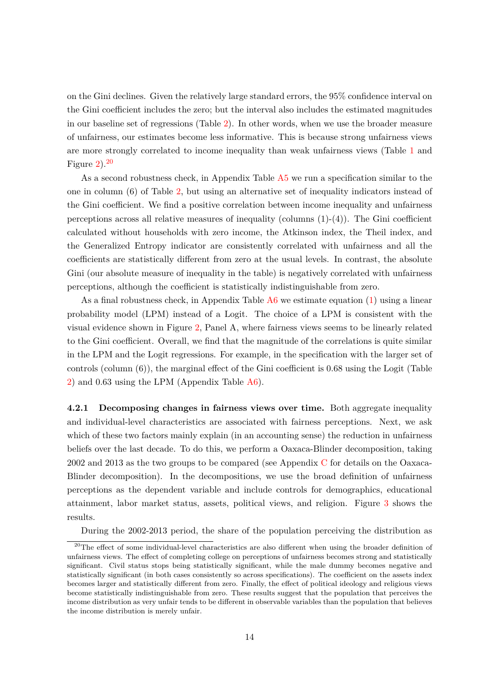on the Gini declines. Given the relatively large standard errors, the 95% confidence interval on the Gini coefficient includes the zero; but the interval also includes the estimated magnitudes in our baseline set of regressions (Table [2\)](#page-21-0). In other words, when we use the broader measure of unfairness, our estimates become less informative. This is because strong unfairness views are more strongly correlated to income inequality than weak unfairness views (Table [1](#page-20-0) and Figure  $2^{20}$  $2^{20}$  $2^{20}$ 

As a second robustness check, in Appendix Table [A5](#page-32-0) we run a specification similar to the one in column (6) of Table [2,](#page-21-0) but using an alternative set of inequality indicators instead of the Gini coefficient. We find a positive correlation between income inequality and unfairness perceptions across all relative measures of inequality (columns  $(1)-(4)$ ). The Gini coefficient calculated without households with zero income, the Atkinson index, the Theil index, and the Generalized Entropy indicator are consistently correlated with unfairness and all the coefficients are statistically different from zero at the usual levels. In contrast, the absolute Gini (our absolute measure of inequality in the table) is negatively correlated with unfairness perceptions, although the coefficient is statistically indistinguishable from zero.

As a final robustness check, in Appendix Table  $A6$  we estimate equation [\(1\)](#page-11-0) using a linear probability model (LPM) instead of a Logit. The choice of a LPM is consistent with the visual evidence shown in Figure [2,](#page-18-0) Panel A, where fairness views seems to be linearly related to the Gini coefficient. Overall, we find that the magnitude of the correlations is quite similar in the LPM and the Logit regressions. For example, in the specification with the larger set of controls (column (6)), the marginal effect of the Gini coefficient is 0.68 using the Logit (Table [2\)](#page-21-0) and 0.63 using the LPM (Appendix Table [A6\)](#page-33-0).

**4.2.1 Decomposing changes in fairness views over time.** Both aggregate inequality and individual-level characteristics are associated with fairness perceptions. Next, we ask which of these two factors mainly explain (in an accounting sense) the reduction in unfairness beliefs over the last decade. To do this, we perform a Oaxaca-Blinder decomposition, taking 2002 and 2013 as the two groups to be compared (see Appendix [C](#page-37-0) for details on the Oaxaca-Blinder decomposition). In the decompositions, we use the broad definition of unfairness perceptions as the dependent variable and include controls for demographics, educational attainment, labor market status, assets, political views, and religion. Figure [3](#page-19-0) shows the results.

During the 2002-2013 period, the share of the population perceiving the distribution as

<sup>&</sup>lt;sup>20</sup>The effect of some individual-level characteristics are also different when using the broader definition of unfairness views. The effect of completing college on perceptions of unfairness becomes strong and statistically significant. Civil status stops being statistically significant, while the male dummy becomes negative and statistically significant (in both cases consistently so across specifications). The coefficient on the assets index becomes larger and statistically different from zero. Finally, the effect of political ideology and religious views become statistically indistinguishable from zero. These results suggest that the population that perceives the income distribution as very unfair tends to be different in observable variables than the population that believes the income distribution is merely unfair.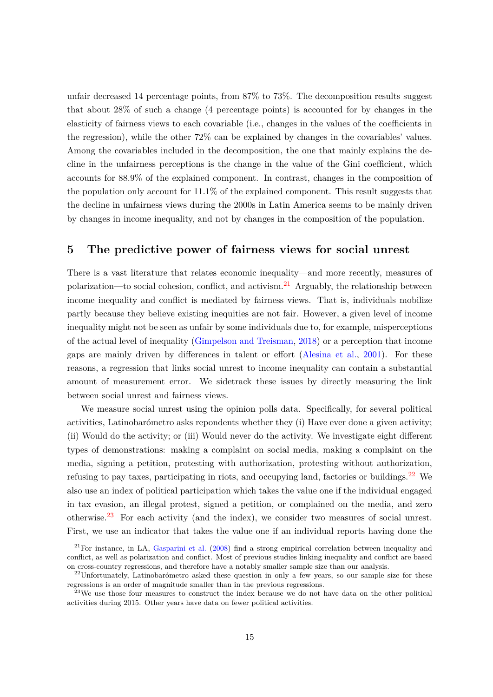unfair decreased 14 percentage points, from 87% to 73%. The decomposition results suggest that about 28% of such a change (4 percentage points) is accounted for by changes in the elasticity of fairness views to each covariable (i.e., changes in the values of the coefficients in the regression), while the other 72% can be explained by changes in the covariables' values. Among the covariables included in the decomposition, the one that mainly explains the decline in the unfairness perceptions is the change in the value of the Gini coefficient, which accounts for 88.9% of the explained component. In contrast, changes in the composition of the population only account for 11.1% of the explained component. This result suggests that the decline in unfairness views during the 2000s in Latin America seems to be mainly driven by changes in income inequality, and not by changes in the composition of the population.

### <span id="page-14-0"></span>**5 The predictive power of fairness views for social unrest**

There is a vast literature that relates economic inequality—and more recently, measures of polarization—to social cohesion, conflict, and activism.<sup>[21](#page-0-0)</sup> Arguably, the relationship between income inequality and conflict is mediated by fairness views. That is, individuals mobilize partly because they believe existing inequities are not fair. However, a given level of income inequality might not be seen as unfair by some individuals due to, for example, misperceptions of the actual level of inequality [\(Gimpelson and Treisman,](#page-24-1) [2018\)](#page-24-1) or a perception that income gaps are mainly driven by differences in talent or effort [\(Alesina et al.,](#page-23-15) [2001\)](#page-23-15). For these reasons, a regression that links social unrest to income inequality can contain a substantial amount of measurement error. We sidetrack these issues by directly measuring the link between social unrest and fairness views.

We measure social unrest using the opinion polls data. Specifically, for several political activities, Latinobarómetro asks repondents whether they (i) Have ever done a given activity; (ii) Would do the activity; or (iii) Would never do the activity. We investigate eight different types of demonstrations: making a complaint on social media, making a complaint on the media, signing a petition, protesting with authorization, protesting without authorization, refusing to pay taxes, participating in riots, and occupying land, factories or buildings.<sup>[22](#page-0-0)</sup> We also use an index of political participation which takes the value one if the individual engaged in tax evasion, an illegal protest, signed a petition, or complained on the media, and zero otherwise.<sup>[23](#page-0-0)</sup> For each activity (and the index), we consider two measures of social unrest. First, we use an indicator that takes the value one if an individual reports having done the

 $^{21}$ For instance, in LA, [Gasparini et al.](#page-24-6) [\(2008\)](#page-24-6) find a strong empirical correlation between inequality and conflict, as well as polarization and conflict. Most of previous studies linking inequality and conflict are based on cross-country regressions, and therefore have a notably smaller sample size than our analysis.

 $22$ Unfortunately, Latinobarómetro asked these question in only a few years, so our sample size for these regressions is an order of magnitude smaller than in the previous regressions.

 $23$ We use those four measures to construct the index because we do not have data on the other political activities during 2015. Other years have data on fewer political activities.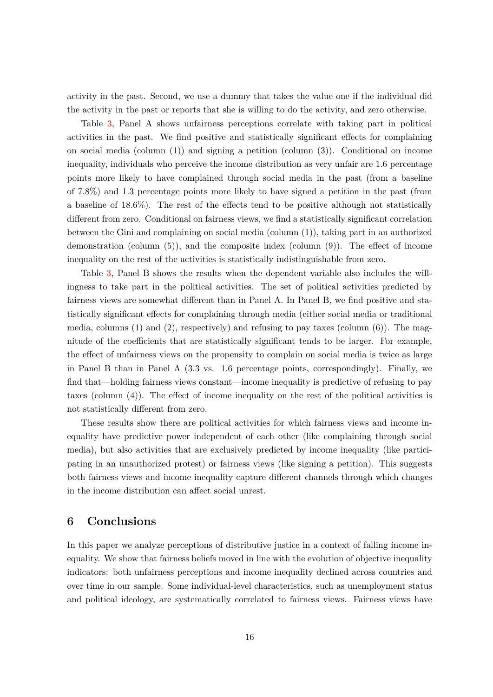activity in the past. Second, we use a dummy that takes the value one if the individual did the activity in the past or reports that she is willing to do the activity, and zero otherwise.

Table [3,](#page-22-0) Panel A shows unfairness perceptions correlate with taking part in political activities in the past. We find positive and statistically significant effects for complaining on social media (column  $(1)$ ) and signing a petition (column  $(3)$ ). Conditional on income inequality, individuals who perceive the income distribution as very unfair are 1.6 percentage points more likely to have complained through social media in the past (from a baseline of 7.8%) and 1.3 percentage points more likely to have signed a petition in the past (from a baseline of 18.6%). The rest of the effects tend to be positive although not statistically different from zero. Conditional on fairness views, we find a statistically significant correlation between the Gini and complaining on social media (column (1)), taking part in an authorized demonstration (column  $(5)$ ), and the composite index (column  $(9)$ ). The effect of income inequality on the rest of the activities is statistically indistinguishable from zero.

Table [3,](#page-22-0) Panel B shows the results when the dependent variable also includes the willingness to take part in the political activities. The set of political activities predicted by fairness views are somewhat different than in Panel A. In Panel B, we find positive and statistically significant effects for complaining through media (either social media or traditional media, columns  $(1)$  and  $(2)$ , respectively) and refusing to pay taxes (column  $(6)$ ). The magnitude of the coefficients that are statistically significant tends to be larger. For example, the effect of unfairness views on the propensity to complain on social media is twice as large in Panel B than in Panel A (3.3 vs. 1.6 percentage points, correspondingly). Finally, we find that—holding fairness views constant—income inequality is predictive of refusing to pay taxes (column (4)). The effect of income inequality on the rest of the political activities is not statistically different from zero.

These results show there are political activities for which fairness views and income inequality have predictive power independent of each other (like complaining through social media), but also activities that are exclusively predicted by income inequality (like participating in an unauthorized protest) or fairness views (like signing a petition). This suggests both fairness views and income inequality capture different channels through which changes in the income distribution can affect social unrest.

## <span id="page-15-0"></span>**6 Conclusions**

In this paper we analyze perceptions of distributive justice in a context of falling income inequality. We show that fairness beliefs moved in line with the evolution of objective inequality indicators: both unfairness perceptions and income inequality declined across countries and over time in our sample. Some individual-level characteristics, such as unemployment status and political ideology, are systematically correlated to fairness views. Fairness views have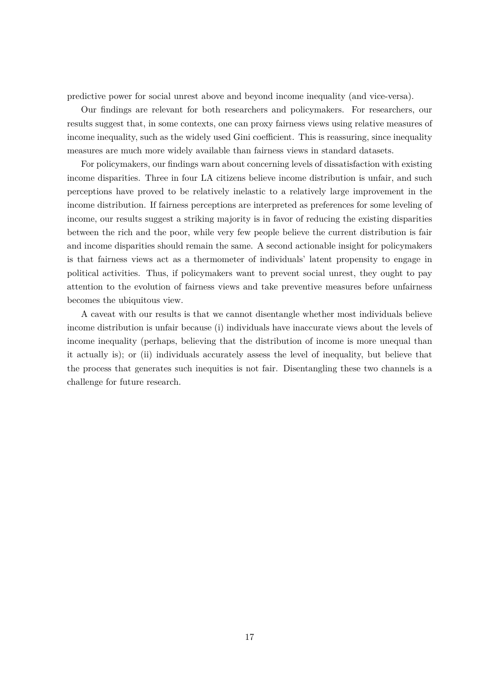predictive power for social unrest above and beyond income inequality (and vice-versa).

Our findings are relevant for both researchers and policymakers. For researchers, our results suggest that, in some contexts, one can proxy fairness views using relative measures of income inequality, such as the widely used Gini coefficient. This is reassuring, since inequality measures are much more widely available than fairness views in standard datasets.

For policymakers, our findings warn about concerning levels of dissatisfaction with existing income disparities. Three in four LA citizens believe income distribution is unfair, and such perceptions have proved to be relatively inelastic to a relatively large improvement in the income distribution. If fairness perceptions are interpreted as preferences for some leveling of income, our results suggest a striking majority is in favor of reducing the existing disparities between the rich and the poor, while very few people believe the current distribution is fair and income disparities should remain the same. A second actionable insight for policymakers is that fairness views act as a thermometer of individuals' latent propensity to engage in political activities. Thus, if policymakers want to prevent social unrest, they ought to pay attention to the evolution of fairness views and take preventive measures before unfairness becomes the ubiquitous view.

A caveat with our results is that we cannot disentangle whether most individuals believe income distribution is unfair because (i) individuals have inaccurate views about the levels of income inequality (perhaps, believing that the distribution of income is more unequal than it actually is); or (ii) individuals accurately assess the level of inequality, but believe that the process that generates such inequities is not fair. Disentangling these two channels is a challenge for future research.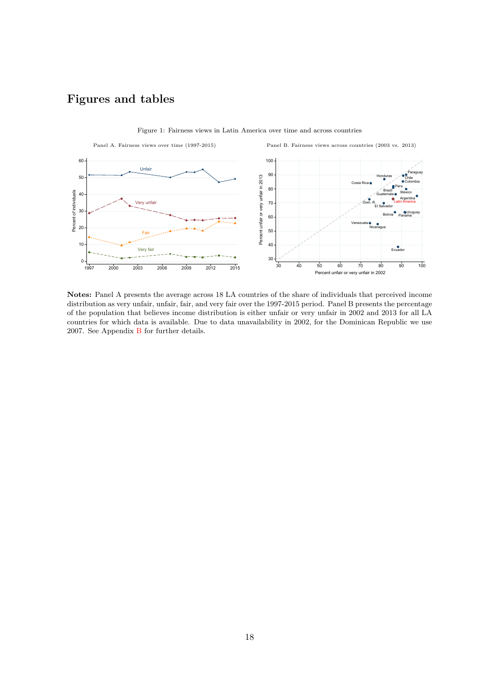## **Figures and tables**

<span id="page-17-0"></span>

Figure 1: Fairness views in Latin America over time and across countries

**Notes:** Panel A presents the average across 18 LA countries of the share of individuals that perceived income distribution as very unfair, unfair, fair, and very fair over the 1997-2015 period. Panel B presents the percentage of the population that believes income distribution is either unfair or very unfair in 2002 and 2013 for all LA countries for which data is available. Due to data unavailability in 2002, for the Dominican Republic we use 2007. See Appendix [B](#page-34-1) for further details.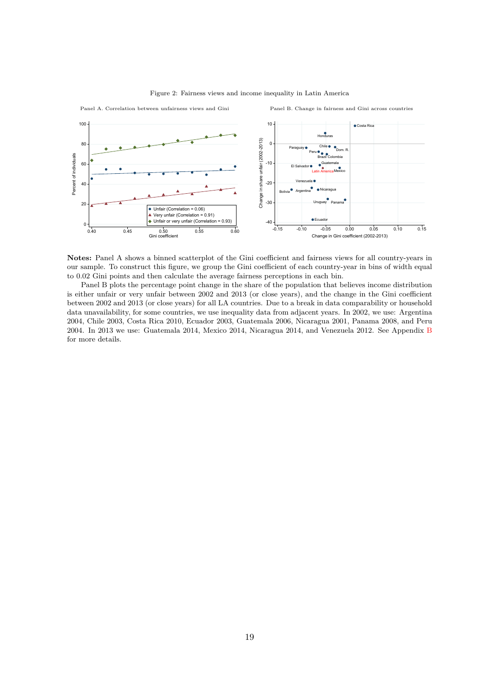<span id="page-18-0"></span>

Figure 2: Fairness views and income inequality in Latin America

**Notes:** Panel A shows a binned scatterplot of the Gini coefficient and fairness views for all country-years in our sample. To construct this figure, we group the Gini coefficient of each country-year in bins of width equal to 0.02 Gini points and then calculate the average fairness perceptions in each bin.

Panel B plots the percentage point change in the share of the population that believes income distribution is either unfair or very unfair between 2002 and 2013 (or close years), and the change in the Gini coefficient between 2002 and 2013 (or close years) for all LA countries. Due to a break in data comparability or household data unavailability, for some countries, we use inequality data from adjacent years. In 2002, we use: Argentina 2004, Chile 2003, Costa Rica 2010, Ecuador 2003, Guatemala 2006, Nicaragua 2001, Panama 2008, and Peru 2004. In 2013 we use: Guatemala 2014, Mexico 2014, Nicaragua 2014, and Venezuela 2012. See Appendix [B](#page-34-1) for more details.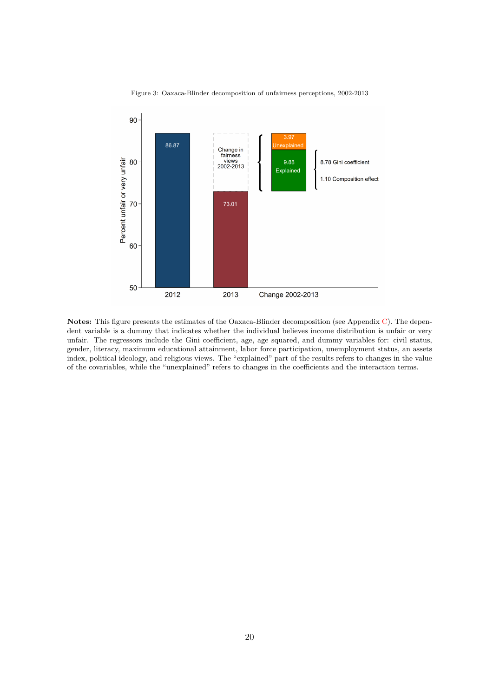<span id="page-19-0"></span>

Figure 3: Oaxaca-Blinder decomposition of unfairness perceptions, 2002-2013

**Notes:** This figure presents the estimates of the Oaxaca-Blinder decomposition (see Appendix [C\)](#page-37-0). The dependent variable is a dummy that indicates whether the individual believes income distribution is unfair or very unfair. The regressors include the Gini coefficient, age, age squared, and dummy variables for: civil status, gender, literacy, maximum educational attainment, labor force participation, unemployment status, an assets index, political ideology, and religious views. The "explained" part of the results refers to changes in the value of the covariables, while the "unexplained" refers to changes in the coefficients and the interaction terms.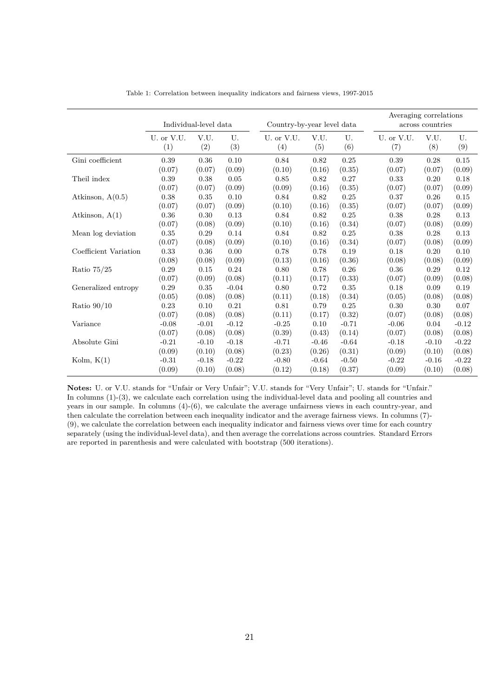<span id="page-20-0"></span>

|                       |            | Individual-level data |         | Country-by-year level data |         |          | Averaging correlations | across countries |         |
|-----------------------|------------|-----------------------|---------|----------------------------|---------|----------|------------------------|------------------|---------|
|                       | U. or V.U. | V.U.                  | U.      | U. or V.U.                 | V.U.    | U.       | U. or V.U.             | V.U.             | U.      |
|                       | (1)        | (2)                   | (3)     | (4)                        | (5)     | (6)      | (7)                    | (8)              | (9)     |
| Gini coefficient      | 0.39       | 0.36                  | 0.10    | 0.84                       | 0.82    | 0.25     | 0.39                   | 0.28             | 0.15    |
|                       | (0.07)     | (0.07)                | (0.09)  | (0.10)                     | (0.16)  | (0.35)   | (0.07)                 | (0.07)           | (0.09)  |
| Theil index           | 0.39       | 0.38                  | 0.05    | 0.85                       | 0.82    | 0.27     | 0.33                   | 0.20             | 0.18    |
|                       | (0.07)     | (0.07)                | (0.09)  | (0.09)                     | (0.16)  | (0.35)   | (0.07)                 | (0.07)           | (0.09)  |
| Atkinson, $A(0.5)$    | $0.38\,$   | 0.35                  | 0.10    | 0.84                       | 0.82    | $0.25\,$ | 0.37                   | 0.26             | 0.15    |
|                       | (0.07)     | (0.07)                | (0.09)  | (0.10)                     | (0.16)  | (0.35)   | (0.07)                 | (0.07)           | (0.09)  |
| Atkinson, $A(1)$      | 0.36       | 0.30                  | 0.13    | 0.84                       | 0.82    | 0.25     | 0.38                   | 0.28             | 0.13    |
|                       | (0.07)     | (0.08)                | (0.09)  | (0.10)                     | (0.16)  | (0.34)   | (0.07)                 | (0.08)           | (0.09)  |
| Mean log deviation    | $\rm 0.35$ | 0.29                  | 0.14    | 0.84                       | 0.82    | 0.25     | 0.38                   | 0.28             | 0.13    |
|                       | (0.07)     | (0.08)                | (0.09)  | (0.10)                     | (0.16)  | (0.34)   | (0.07)                 | (0.08)           | (0.09)  |
| Coefficient Variation | 0.33       | 0.36                  | 0.00    | 0.78                       | 0.78    | 0.19     | 0.18                   | 0.20             | 0.10    |
|                       | (0.08)     | (0.08)                | (0.09)  | (0.13)                     | (0.16)  | (0.36)   | (0.08)                 | (0.08)           | (0.09)  |
| Ratio $75/25$         | 0.29       | 0.15                  | 0.24    | 0.80                       | 0.78    | 0.26     | 0.36                   | 0.29             | 0.12    |
|                       | (0.07)     | (0.09)                | (0.08)  | (0.11)                     | (0.17)  | (0.33)   | (0.07)                 | (0.09)           | (0.08)  |
| Generalized entropy   | 0.29       | 0.35                  | $-0.04$ | 0.80                       | 0.72    | 0.35     | 0.18                   | 0.09             | 0.19    |
|                       | (0.05)     | (0.08)                | (0.08)  | (0.11)                     | (0.18)  | (0.34)   | (0.05)                 | (0.08)           | (0.08)  |
| Ratio $90/10$         | 0.23       | 0.10                  | 0.21    | 0.81                       | 0.79    | 0.25     | 0.30                   | 0.30             | 0.07    |
|                       | (0.07)     | (0.08)                | (0.08)  | (0.11)                     | (0.17)  | (0.32)   | (0.07)                 | (0.08)           | (0.08)  |
| Variance              | $-0.08$    | $-0.01$               | $-0.12$ | $-0.25$                    | 0.10    | $-0.71$  | $-0.06$                | 0.04             | $-0.12$ |
|                       | (0.07)     | (0.08)                | (0.08)  | (0.39)                     | (0.43)  | (0.14)   | (0.07)                 | (0.08)           | (0.08)  |
| Absolute Gini         | $-0.21$    | $-0.10$               | $-0.18$ | $-0.71$                    | $-0.46$ | $-0.64$  | $-0.18$                | $-0.10$          | $-0.22$ |
|                       | (0.09)     | (0.10)                | (0.08)  | (0.23)                     | (0.26)  | (0.31)   | (0.09)                 | (0.10)           | (0.08)  |
| Kolm, $K(1)$          | $-0.31$    | $-0.18$               | $-0.22$ | $-0.80$                    | $-0.64$ | $-0.50$  | $-0.22$                | $-0.16$          | $-0.22$ |
|                       | (0.09)     | (0.10)                | (0.08)  | (0.12)                     | (0.18)  | (0.37)   | (0.09)                 | (0.10)           | (0.08)  |

Table 1: Correlation between inequality indicators and fairness views, 1997-2015

**Notes:** U. or V.U. stands for "Unfair or Very Unfair"; V.U. stands for "Very Unfair"; U. stands for "Unfair." In columns (1)-(3), we calculate each correlation using the individual-level data and pooling all countries and years in our sample. In columns (4)-(6), we calculate the average unfairness views in each country-year, and then calculate the correlation between each inequality indicator and the average fairness views. In columns (7)- (9), we calculate the correlation between each inequality indicator and fairness views over time for each country separately (using the individual-level data), and then average the correlations across countries. Standard Errors are reported in parenthesis and were calculated with bootstrap (500 iterations).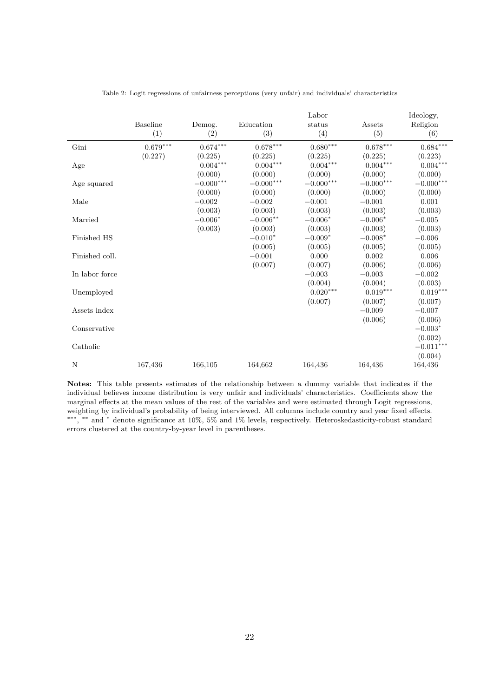<span id="page-21-0"></span>

|                | <b>Baseline</b>        | Demog.      | Education        | Labor<br>status        | Assets      | Ideology,<br>Religion  |
|----------------|------------------------|-------------|------------------|------------------------|-------------|------------------------|
|                | (1)                    | (2)         | (3)              | (4)                    | (5)         | (6)                    |
| Gini           | $0.679^{\ast\ast\ast}$ | $0.674***$  | $0.678***$       | $0.680^{\ast\ast\ast}$ | $0.678***$  | $0.684^{\ast\ast\ast}$ |
|                | (0.227)                | (0.225)     | (0.225)          | (0.225)                | (0.225)     | (0.223)                |
| Age            |                        | $0.004***$  | $0.004^{***}\,$  | $0.004***$             | $0.004***$  | $0.004***$             |
|                |                        | (0.000)     | (0.000)          | (0.000)                | (0.000)     | (0.000)                |
| Age squared    |                        | $-0.000***$ | $-0.000^{***}\,$ | $-0.000***$            | $-0.000***$ | $-0.000***$            |
|                |                        | (0.000)     | (0.000)          | (0.000)                | (0.000)     | (0.000)                |
| Male           |                        | $-0.002$    | $-0.002$         | $-0.001$               | $-0.001$    | 0.001                  |
|                |                        | (0.003)     | (0.003)          | (0.003)                | (0.003)     | (0.003)                |
| Married        |                        | $-0.006*$   | $-0.006**$       | $-0.006*$              | $-0.006*$   | $-0.005$               |
|                |                        | (0.003)     | (0.003)          | (0.003)                | (0.003)     | (0.003)                |
| Finished HS    |                        |             | $-0.010*$        | $-0.009*$              | $-0.008*$   | $-0.006$               |
|                |                        |             | (0.005)          | (0.005)                | (0.005)     | (0.005)                |
| Finished coll. |                        |             | $-0.001$         | 0.000                  | 0.002       | 0.006                  |
|                |                        |             | (0.007)          | (0.007)                | (0.006)     | (0.006)                |
| In labor force |                        |             |                  | $-0.003$               | $-0.003$    | $-0.002$               |
|                |                        |             |                  | (0.004)                | (0.004)     | (0.003)                |
| Unemployed     |                        |             |                  | $0.020***$             | $0.019***$  | $0.019***$             |
|                |                        |             |                  | (0.007)                | (0.007)     | (0.007)                |
| Assets index   |                        |             |                  |                        | $-0.009$    | $-0.007$               |
|                |                        |             |                  |                        | (0.006)     | (0.006)                |
| Conservative   |                        |             |                  |                        |             | $-0.003*$              |
|                |                        |             |                  |                        |             | (0.002)                |
| Catholic       |                        |             |                  |                        |             | $-0.011***$            |
|                |                        |             |                  |                        |             | (0.004)                |
| N              | 167,436                | 166,105     | 164,662          | 164,436                | 164,436     | 164,436                |

Table 2: Logit regressions of unfairness perceptions (very unfair) and individuals' characteristics

**Notes:** This table presents estimates of the relationship between a dummy variable that indicates if the individual believes income distribution is very unfair and individuals' characteristics. Coefficients show the marginal effects at the mean values of the rest of the variables and were estimated through Logit regressions, weighting by individual's probability of being interviewed. All columns include country and year fixed effects. ∗∗∗ , ∗∗ and <sup>∗</sup> denote significance at 10%, 5% and 1% levels, respectively. Heteroskedasticity-robust standard errors clustered at the country-by-year level in parentheses.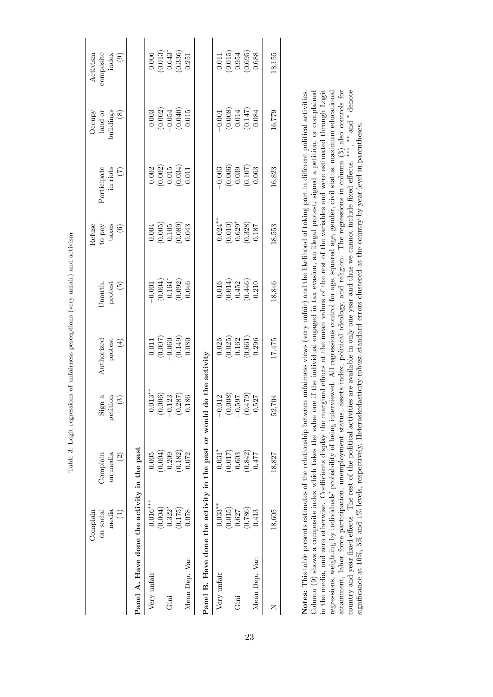|                                                      | Complain                                        |                                                 |                                                                                           |                                                                           |                                                                                  | Refuse                                                                      |                                                                                      | Occupy                                                                             | Activism                                                                       |
|------------------------------------------------------|-------------------------------------------------|-------------------------------------------------|-------------------------------------------------------------------------------------------|---------------------------------------------------------------------------|----------------------------------------------------------------------------------|-----------------------------------------------------------------------------|--------------------------------------------------------------------------------------|------------------------------------------------------------------------------------|--------------------------------------------------------------------------------|
|                                                      | on social                                       | Complain                                        | $\mathrm{Sign}$ a                                                                         | Authorizec                                                                | Jnauth                                                                           | to pay                                                                      | Participate                                                                          | land or                                                                            | composite                                                                      |
|                                                      | media                                           | on media                                        | petition                                                                                  | protest                                                                   | protest                                                                          | taxes                                                                       | in riots                                                                             |                                                                                    | index                                                                          |
|                                                      | $\begin{pmatrix} 1 \end{pmatrix}$               | $\widehat{\mathfrak{S}}$                        | $\binom{3}{2}$                                                                            | $(4)$                                                                     | $\widetilde{\mathfrak{G}}$                                                       | $\widehat{\epsilon}$                                                        | $\binom{7}{ }$                                                                       | and<br>buildings<br>(8)                                                            | $\odot$                                                                        |
| Panel A. Have done the activity in the past          |                                                 |                                                 |                                                                                           |                                                                           |                                                                                  |                                                                             |                                                                                      |                                                                                    |                                                                                |
| Very unfair                                          | $0.016***$                                      | 0.005                                           | $0.013***$                                                                                |                                                                           |                                                                                  |                                                                             |                                                                                      |                                                                                    |                                                                                |
|                                                      |                                                 |                                                 | $\circ$                                                                                   | $\begin{array}{c} 0.011\\ (0.007)\\ -0.060\\ (0.149)\\ 0.080 \end{array}$ | $\begin{array}{c} -0.001 \\ (0.004) \\ 0.164^* \\ (0.092) \\ (0.046 \end{array}$ | $\begin{array}{c} 0.004 \\ -0.005) \\ 0.105 \\ 0.039) \\ 0.043 \end{array}$ | $\begin{array}{c} 0.002 \\ 0.002) \\ 0.015 \\ 0.034) \\ 0.034) \\ 0.011 \end{array}$ | $\begin{array}{c} 0.003 \\ (0.002) \\ -0.054 \\ (0.040) \\ 0.015 \end{array}$      | $\begin{array}{c} 0.006 \\ (0.013) \\ 0.643^* \\ (0.336) \\ 0.251 \end{array}$ |
| Gini                                                 | $(0.004)$<br>0.322*                             | $(0.004)$<br>0.209                              |                                                                                           |                                                                           |                                                                                  |                                                                             |                                                                                      |                                                                                    |                                                                                |
|                                                      | (0.175)                                         | (0.182)                                         | $0.06$<br>$0.23$<br>$0.287$<br>$0.86$<br>$\circ$                                          |                                                                           |                                                                                  |                                                                             |                                                                                      |                                                                                    |                                                                                |
| Mean Dep. Var.                                       | 0.078                                           | 0.072                                           |                                                                                           |                                                                           |                                                                                  |                                                                             |                                                                                      |                                                                                    |                                                                                |
| Panel B. Have done the activity in the past or would |                                                 |                                                 |                                                                                           | do the activity                                                           |                                                                                  |                                                                             |                                                                                      |                                                                                    |                                                                                |
| Very unfair                                          | $0.033**$                                       | $0.031*$                                        | .012                                                                                      |                                                                           |                                                                                  | $0.024***$                                                                  |                                                                                      |                                                                                    |                                                                                |
|                                                      |                                                 |                                                 | $\circ$                                                                                   | $\begin{array}{c} 0.025\ (0.025) \ 0.162 \ 0.661) \end{array}$            | $\begin{array}{c} 0.016 \\ (0.014) \\ 0.452 \\ (0.446) \\ 0.210 \end{array}$     |                                                                             | $\begin{array}{r} -0.003 \\ (0.006) \\ 0.039 \\ (0.107) \\ 0.063 \end{array}$        | $\begin{array}{c} -0.001 \\ (0.008) \\ 0.014 \\ (0.147) \\ (0.147) \\ \end{array}$ | $\begin{array}{c} 0.011\\ -0.015)\\ 0.954\\ 0.695)\\ 0.688 \end{array}$        |
| Gini                                                 | $\begin{array}{c} (0.015) \\ 0.627 \end{array}$ | $\begin{array}{c} (0.017) \\ 0.603 \end{array}$ |                                                                                           |                                                                           |                                                                                  |                                                                             |                                                                                      |                                                                                    |                                                                                |
|                                                      | (0.786)                                         | (0.842)                                         | $\begin{array}{c} 2.79 \\ 2.62 \\ 2.62 \\ 2.69 \\ 0.00 \\ 0.00 \\ \end{array}$<br>$\circ$ |                                                                           |                                                                                  | $\begin{array}{c} (0.010) \\ 0.629^* \\ (0.328) \\ 0.187 \end{array}$       |                                                                                      |                                                                                    |                                                                                |
| Mean Dep. Var                                        | 0.413                                           | 0.477                                           |                                                                                           | 0.296                                                                     |                                                                                  |                                                                             |                                                                                      |                                                                                    |                                                                                |
| Z                                                    | 18,605                                          | 18,827                                          | $.704$<br>52                                                                              | 17,475                                                                    | 18,846                                                                           | 18,553                                                                      | 16,823                                                                               | 16,779                                                                             | 18,155                                                                         |

attainment, labor force participation, unemployment status, assets index, political ideology, and religion. The regressions in column (3) also controls for country and year fixed effects. The rest of the political activities are available in only one year and thus we cannot include fixed effects. \*\*\*, \*\*\* and \* denote Notes: This table presents estimates of the relationship between unfairness views (very unfair) and the likelihood of taking part in different political activities. Column (9) shows a composite index which takes the value one if the individual engaged in tax evasion, an illegal protest, signed a petition, or complained in the media, and zero otherwise. Coefficients display the marginal effects at the mean values of the rest of the variables and were estimated through Logit regressions, weighting by individuals' probability of being interviewed. All regressions control for age, squared age, gender, civil status, maximum educational country and year fixed effects. The rest of the political activities are available in only one year and thus we cannot include fixed effects. <sup>\*\*\*</sup>, \*\* and <sup>\*</sup> denote **Notes:** This table presents estimates of the relationship between unfairness views (very unfair) and the likelihood of taking part in different political activities. Column (9) shows a composite index which takes the value one if the individual engaged in tax evasion, an illegal protest, signed a petition, or complained in the media, and zero otherwise. Coefficients display the marginal effects at the mean values of the rest of the variables and were estimated through Logit regressions, weighting by individuals' probability of being interviewed. All regressions control for age, squared age, gender, civil status, maximum educational attainment, labor force participation, unemployment status, assets index, political ideology, and religion. The regressions in column (3) also controls for significance at 10%, 5% and 1% levels, respectively. Heteroskedasticity-robust standard errors clustered at the country-by-year level in parentheses. significance at 10%, 5% and 1% levels, respectively. Heteroskedasticity-robust standard errors clustered at the country-by-year level in parentheses.

<span id="page-22-0"></span>

| くらく<br>į                                                                              |  |
|---------------------------------------------------------------------------------------|--|
| i<br>Samud a<br>֖֖֖֖֖֖֖֧ׅ֚֚֚֚֚֚֚֚֚֚֚֚֚֚֚֚֚֚֚֚֚֚֬֝֓֓֡֬֓֞֓֡֞֬֝֓֬                        |  |
| i<br>ı                                                                                |  |
| しんせつ きゅうのう<br>.<br>.<br>.                                                             |  |
| ֖֖֖֧ׅ֧֖֧֧֚֚֚֚֚֚֚֚֚֚֚֚֚֚֚֚֚֚֚֚֚֚֚֚֚֚֚֚֚֚֚֡֬֝֝֓֞֝֓֞<br> <br> <br> <br>ì<br>֖֖֖֖֚֚֚֚֚֚֚֬ |  |
| ֖֖֖֖֖֧ׅ֪ׅ֖֧ׅ֚֚֚֚֚֚֚֚֚֚֚֚֚֚֚֚֚֚֚֚֚֚֚֚֚֚֬֝֝֝֝֝֓֓֬<br>ו<br>נ                             |  |
| l<br>l<br>I                                                                           |  |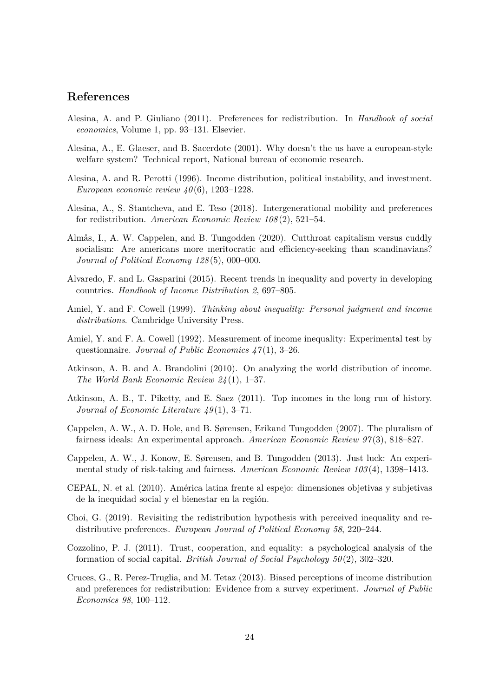## **References**

- <span id="page-23-2"></span>Alesina, A. and P. Giuliano (2011). Preferences for redistribution. In *Handbook of social economics*, Volume 1, pp. 93–131. Elsevier.
- <span id="page-23-15"></span>Alesina, A., E. Glaeser, and B. Sacerdote (2001). Why doesn't the us have a european-style welfare system? Technical report, National bureau of economic research.
- <span id="page-23-7"></span>Alesina, A. and R. Perotti (1996). Income distribution, political instability, and investment. *European economic review 40* (6), 1203–1228.
- <span id="page-23-10"></span>Alesina, A., S. Stantcheva, and E. Teso (2018). Intergenerational mobility and preferences for redistribution. *American Economic Review 108* (2), 521–54.
- <span id="page-23-4"></span>Almås, I., A. W. Cappelen, and B. Tungodden (2020). Cutthroat capitalism versus cuddly socialism: Are americans more meritocratic and efficiency-seeking than scandinavians? *Journal of Political Economy 128* (5), 000–000.
- <span id="page-23-5"></span>Alvaredo, F. and L. Gasparini (2015). Recent trends in inequality and poverty in developing countries. *Handbook of Income Distribution 2*, 697–805.
- <span id="page-23-14"></span>Amiel, Y. and F. Cowell (1999). *Thinking about inequality: Personal judgment and income distributions*. Cambridge University Press.
- <span id="page-23-13"></span>Amiel, Y. and F. A. Cowell (1992). Measurement of income inequality: Experimental test by questionnaire. *Journal of Public Economics 47* (1), 3–26.
- <span id="page-23-8"></span>Atkinson, A. B. and A. Brandolini (2010). On analyzing the world distribution of income. *The World Bank Economic Review 24* (1), 1–37.
- <span id="page-23-12"></span>Atkinson, A. B., T. Piketty, and E. Saez (2011). Top incomes in the long run of history. *Journal of Economic Literature 49* (1), 3–71.
- <span id="page-23-1"></span>Cappelen, A. W., A. D. Hole, and B. Sørensen, Erikand Tungodden (2007). The pluralism of fairness ideals: An experimental approach. *American Economic Review 97* (3), 818–827.
- <span id="page-23-3"></span>Cappelen, A. W., J. Konow, E. Sørensen, and B. Tungodden (2013). Just luck: An experimental study of risk-taking and fairness. *American Economic Review 103* (4), 1398–1413.
- <span id="page-23-11"></span>CEPAL, N. et al. (2010). América latina frente al espejo: dimensiones objetivas y subjetivas de la inequidad social y el bienestar en la región.
- <span id="page-23-0"></span>Choi, G. (2019). Revisiting the redistribution hypothesis with perceived inequality and redistributive preferences. *European Journal of Political Economy 58*, 220–244.
- <span id="page-23-6"></span>Cozzolino, P. J. (2011). Trust, cooperation, and equality: a psychological analysis of the formation of social capital. *British Journal of Social Psychology 50* (2), 302–320.
- <span id="page-23-9"></span>Cruces, G., R. Perez-Truglia, and M. Tetaz (2013). Biased perceptions of income distribution and preferences for redistribution: Evidence from a survey experiment. *Journal of Public Economics 98*, 100–112.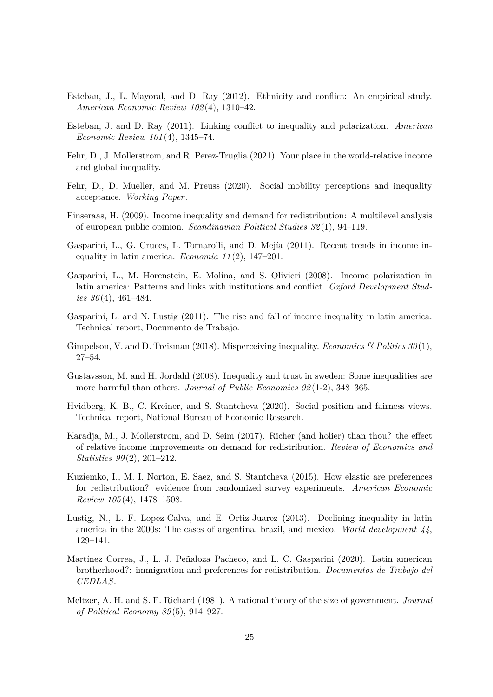- <span id="page-24-12"></span>Esteban, J., L. Mayoral, and D. Ray (2012). Ethnicity and conflict: An empirical study. *American Economic Review 102* (4), 1310–42.
- <span id="page-24-11"></span>Esteban, J. and D. Ray (2011). Linking conflict to inequality and polarization. *American Economic Review 101* (4), 1345–74.
- <span id="page-24-9"></span>Fehr, D., J. Mollerstrom, and R. Perez-Truglia (2021). Your place in the world-relative income and global inequality.
- <span id="page-24-10"></span>Fehr, D., D. Mueller, and M. Preuss (2020). Social mobility perceptions and inequality acceptance. *Working Paper*.
- <span id="page-24-4"></span>Finseraas, H. (2009). Income inequality and demand for redistribution: A multilevel analysis of european public opinion. *Scandinavian Political Studies 32* (1), 94–119.
- <span id="page-24-2"></span>Gasparini, L., G. Cruces, L. Tornarolli, and D. Mejía (2011). Recent trends in income inequality in latin america. *Economia 11* (2), 147–201.
- <span id="page-24-6"></span>Gasparini, L., M. Horenstein, E. Molina, and S. Olivieri (2008). Income polarization in latin america: Patterns and links with institutions and conflict. *Oxford Development Studies 36* (4), 461–484.
- <span id="page-24-14"></span>Gasparini, L. and N. Lustig (2011). The rise and fall of income inequality in latin america. Technical report, Documento de Trabajo.
- <span id="page-24-1"></span>Gimpelson, V. and D. Treisman (2018). Misperceiving inequality. *Economics & Politics 30* (1), 27–54.
- <span id="page-24-5"></span>Gustavsson, M. and H. Jordahl (2008). Inequality and trust in sweden: Some inequalities are more harmful than others. *Journal of Public Economics 92* (1-2), 348–365.
- <span id="page-24-8"></span>Hvidberg, K. B., C. Kreiner, and S. Stantcheva (2020). Social position and fairness views. Technical report, National Bureau of Economic Research.
- <span id="page-24-7"></span>Karadja, M., J. Mollerstrom, and D. Seim (2017). Richer (and holier) than thou? the effect of relative income improvements on demand for redistribution. *Review of Economics and Statistics 99* (2), 201–212.
- <span id="page-24-0"></span>Kuziemko, I., M. I. Norton, E. Saez, and S. Stantcheva (2015). How elastic are preferences for redistribution? evidence from randomized survey experiments. *American Economic Review 105* (4), 1478–1508.
- <span id="page-24-15"></span>Lustig, N., L. F. Lopez-Calva, and E. Ortiz-Juarez (2013). Declining inequality in latin america in the 2000s: The cases of argentina, brazil, and mexico. *World development 44*, 129–141.
- <span id="page-24-13"></span>Martínez Correa, J., L. J. Peñaloza Pacheco, and L. C. Gasparini (2020). Latin american brotherhood?: immigration and preferences for redistribution. *Documentos de Trabajo del CEDLAS*.
- <span id="page-24-3"></span>Meltzer, A. H. and S. F. Richard (1981). A rational theory of the size of government. *Journal of Political Economy 89* (5), 914–927.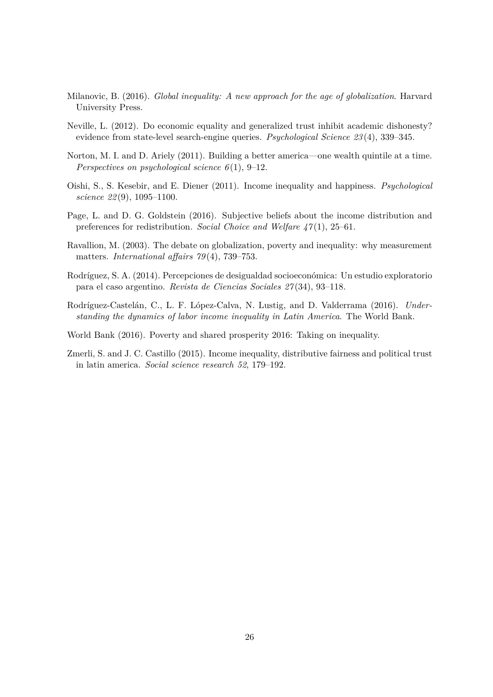- <span id="page-25-9"></span>Milanovic, B. (2016). *Global inequality: A new approach for the age of globalization*. Harvard University Press.
- <span id="page-25-1"></span>Neville, L. (2012). Do economic equality and generalized trust inhibit academic dishonesty? evidence from state-level search-engine queries. *Psychological Science 23* (4), 339–345.
- <span id="page-25-0"></span>Norton, M. I. and D. Ariely (2011). Building a better america—one wealth quintile at a time. *Perspectives on psychological science 6* (1), 9–12.
- <span id="page-25-2"></span>Oishi, S., S. Kesebir, and E. Diener (2011). Income inequality and happiness. *Psychological science 22* (9), 1095–1100.
- <span id="page-25-4"></span>Page, L. and D. G. Goldstein (2016). Subjective beliefs about the income distribution and preferences for redistribution. *Social Choice and Welfare 47* (1), 25–61.
- <span id="page-25-3"></span>Ravallion, M. (2003). The debate on globalization, poverty and inequality: why measurement matters. *International affairs 79* (4), 739–753.
- <span id="page-25-6"></span>Rodríguez, S. A. (2014). Percepciones de desigualdad socioeconómica: Un estudio exploratorio para el caso argentino. *Revista de Ciencias Sociales 27* (34), 93–118.
- <span id="page-25-8"></span>Rodríguez-Castelán, C., L. F. López-Calva, N. Lustig, and D. Valderrama (2016). *Understanding the dynamics of labor income inequality in Latin America*. The World Bank.
- <span id="page-25-7"></span>World Bank (2016). Poverty and shared prosperity 2016: Taking on inequality.
- <span id="page-25-5"></span>Zmerli, S. and J. C. Castillo (2015). Income inequality, distributive fairness and political trust in latin america. *Social science research 52*, 179–192.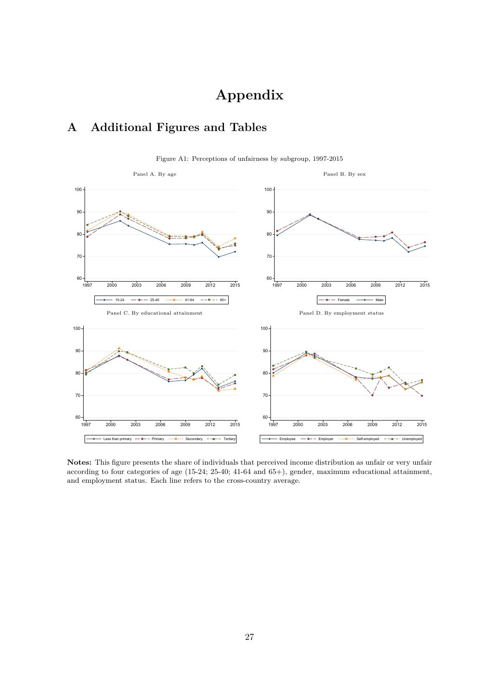# **Appendix**

## **A Additional Figures and Tables**

<span id="page-26-0"></span>

Figure A1: Perceptions of unfairness by subgroup, 1997-2015

**Notes:** This figure presents the share of individuals that perceived income distribution as unfair or very unfair according to four categories of age (15-24; 25-40; 41-64 and 65+), gender, maximum educational attainment, and employment status. Each line refers to the cross-country average.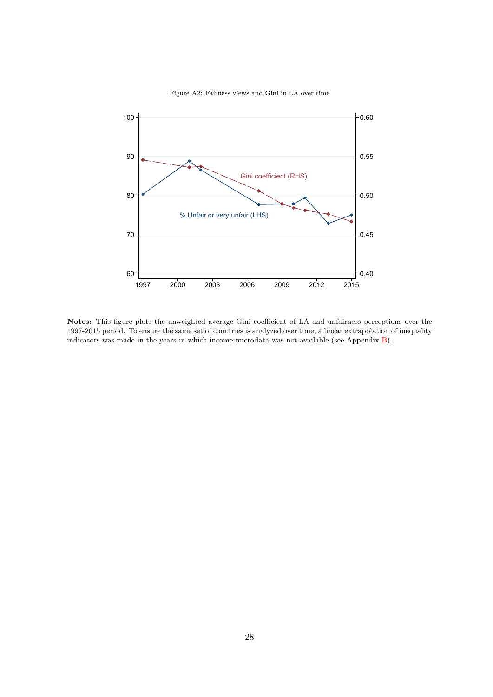<span id="page-27-0"></span>

Figure A2: Fairness views and Gini in LA over time

**Notes:** This figure plots the unweighted average Gini coefficient of LA and unfairness perceptions over the 1997-2015 period. To ensure the same set of countries is analyzed over time, a linear extrapolation of inequality indicators was made in the years in which income microdata was not available (see Appendix [B\)](#page-34-1).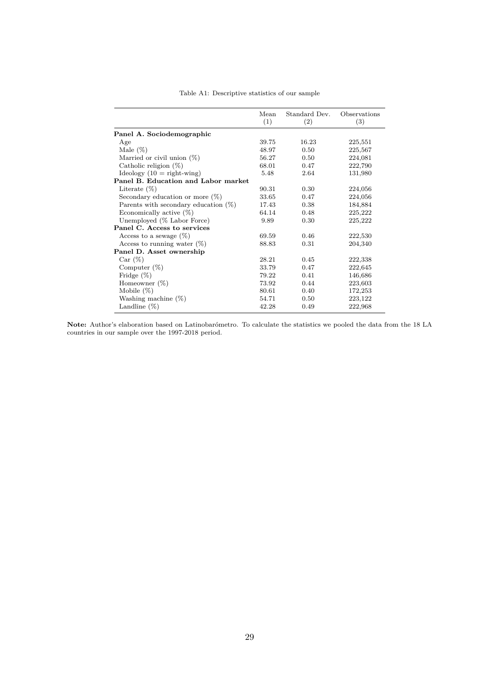|  | Table A1: Descriptive statistics of our sample |  |  |  |
|--|------------------------------------------------|--|--|--|
|--|------------------------------------------------|--|--|--|

<span id="page-28-0"></span>

|                                         | Mean<br>(1) | Standard Dev.<br>(2) | Observations<br>(3) |
|-----------------------------------------|-------------|----------------------|---------------------|
| Panel A. Sociodemographic               |             |                      |                     |
| Age                                     | 39.75       | 16.23                | 225,551             |
| Male $(\%)$                             | 48.97       | 0.50                 | 225,567             |
| Married or civil union $(\%)$           | 56.27       | 0.50                 | 224,081             |
| Catholic religion $(\%)$                | 68.01       | 0.47                 | 222,790             |
| $\text{Ideology}$ (10 = right-wing)     | 5.48        | 2.64                 | 131,980             |
| Panel B. Education and Labor market     |             |                      |                     |
| Literate $(\%)$                         | 90.31       | 0.30                 | 224,056             |
| Secondary education or more $(\%)$      | 33.65       | 0.47                 | 224,056             |
| Parents with secondary education $(\%)$ | 17.43       | 0.38                 | 184,884             |
| Economically active $(\%)$              | 64.14       | 0.48                 | 225,222             |
| Unemployed (% Labor Force)              | 9.89        | 0.30                 | 225,222             |
| Panel C. Access to services             |             |                      |                     |
| Access to a sewage $(\%)$               | 69.59       | 0.46                 | 222,530             |
| Access to running water $(\%)$          | 88.83       | 0.31                 | 204,340             |
| Panel D. Asset ownership                |             |                      |                     |
| Car (%)                                 | 28.21       | 0.45                 | 222,338             |
| Computer $(\%)$                         | 33.79       | 0.47                 | 222,645             |
| Fridge $(\%)$                           | 79.22       | 0.41                 | 146,686             |
| Homeowner $(\%)$                        | 73.92       | 0.44                 | 223,603             |
| Mobile $(\%)$                           | 80.61       | 0.40                 | 172,253             |
| Washing machine $(\%)$                  | 54.71       | 0.50                 | 223,122             |
| Landline $(\%)$                         | 42.28       | 0.49                 | 222,968             |

**Note:** Author's elaboration based on Latinobarómetro. To calculate the statistics we pooled the data from the 18 LA countries in our sample over the 1997-2018 period.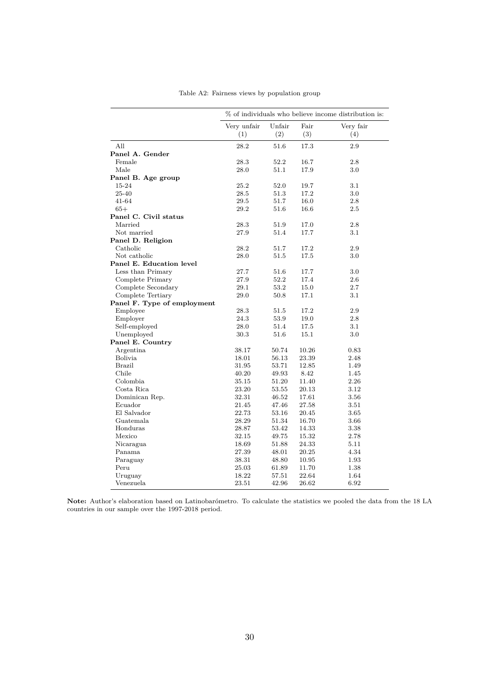<span id="page-29-0"></span>

|                             |                    |               |             | % of individuals who believe income distribution is: |
|-----------------------------|--------------------|---------------|-------------|------------------------------------------------------|
|                             | Very unfair<br>(1) | Unfair<br>(2) | Fair<br>(3) | Very fair<br>(4)                                     |
| All                         | 28.2               | 51.6          | 17.3        | 2.9                                                  |
| Panel A. Gender             |                    |               |             |                                                      |
| Female                      | 28.3               | 52.2          | 16.7        | 2.8                                                  |
| Male                        | 28.0               | 51.1          | 17.9        | 3.0                                                  |
| Panel B. Age group          |                    |               |             |                                                      |
| 15-24                       | 25.2               | 52.0          | 19.7        | 3.1                                                  |
| 25-40                       | 28.5               | 51.3          | 17.2        | $3.0\,$                                              |
| 41-64                       | 29.5               | 51.7          | 16.0        | 2.8                                                  |
| $65+$                       | 29.2               | 51.6          | 16.6        | 2.5                                                  |
| Panel C. Civil status       |                    |               |             |                                                      |
| Married                     | 28.3               | 51.9          | 17.0        | 2.8                                                  |
| Not married                 | 27.9               | 51.4          | 17.7        | 3.1                                                  |
| Panel D. Religion           |                    |               |             |                                                      |
| Catholic                    | 28.2               | 51.7          | 17.2        | 2.9                                                  |
| Not catholic                | 28.0               | 51.5          | 17.5        | 3.0                                                  |
| Panel E. Education level    |                    |               |             |                                                      |
| Less than Primary           | 27.7               | 51.6          | 17.7        | 3.0                                                  |
| Complete Primary            | 27.9               | 52.2          | 17.4        | 2.6                                                  |
| Complete Secondary          | 29.1               | 53.2          | 15.0        | 2.7                                                  |
| Complete Tertiary           | 29.0               | 50.8          | 17.1        | 3.1                                                  |
| Panel F. Type of employment |                    |               |             |                                                      |
| Employee                    | 28.3               | 51.5          | 17.2        | 2.9                                                  |
| Employer                    | 24.3               | 53.9          | 19.0        | 2.8                                                  |
| Self-employed               | 28.0               | 51.4          | 17.5        | $3.1\,$                                              |
| Unemployed                  | 30.3               | 51.6          | 15.1        | 3.0                                                  |
| Panel E. Country            |                    |               |             |                                                      |
| Argentina                   | 38.17              | 50.74         | 10.26       | 0.83                                                 |
| Bolivia                     | 18.01              | 56.13         | 23.39       | 2.48                                                 |
| Brazil                      | 31.95              | 53.71         | 12.85       | 1.49                                                 |
| Chile                       | 40.20              | 49.93         | 8.42        | 1.45                                                 |
| Colombia                    | 35.15              | 51.20         | 11.40       | 2.26                                                 |
| Costa Rica                  | 23.20              | 53.55         | 20.13       | 3.12                                                 |
| Dominican Rep.              | 32.31              | 46.52         | 17.61       | 3.56                                                 |
| Ecuador                     | 21.45              | 47.46         | 27.58       | 3.51                                                 |
| El Salvador                 | 22.73              | 53.16         | 20.45       | 3.65                                                 |
| Guatemala                   | 28.29              | 51.34         | 16.70       | 3.66                                                 |
| Honduras                    | 28.87              | 53.42         | 14.33       | 3.38                                                 |
| Mexico                      | 32.15              | 49.75         | 15.32       | 2.78                                                 |
| Nicaragua                   | 18.69              | 51.88         | 24.33       | 5.11                                                 |
| Panama                      | 27.39              | 48.01         | 20.25       | 4.34                                                 |
| Paraguay                    | 38.31              | 48.80         | 10.95       | 1.93                                                 |
| Peru                        | 25.03              | 61.89         | 11.70       | 1.38                                                 |
| Uruguay                     | 18.22              | 57.51         | 22.64       | 1.64                                                 |
| Venezuela                   | 23.51              | 42.96         | 26.62       | 6.92                                                 |

Table A2: Fairness views by population group

**Note:** Author's elaboration based on Latinobarómetro. To calculate the statistics we pooled the data from the 18 LA countries in our sample over the 1997-2018 period.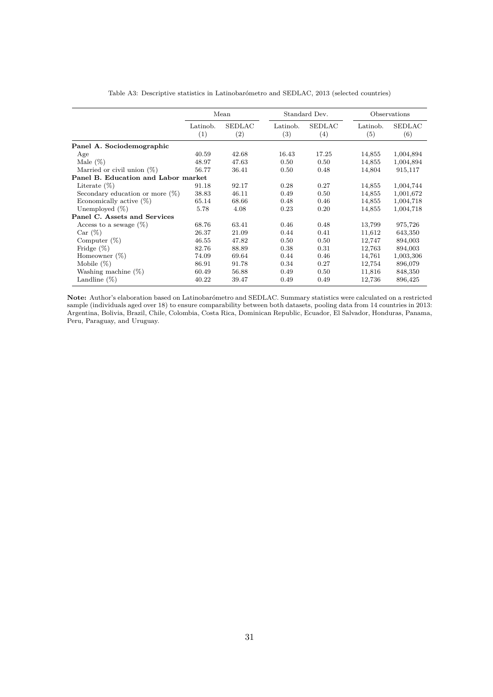<span id="page-30-0"></span>

|                                     |                 | Mean                               |                               | Standard Dev.        |                 | Observations         |
|-------------------------------------|-----------------|------------------------------------|-------------------------------|----------------------|-----------------|----------------------|
|                                     | Latinob.<br>(1) | <b>SEDLAC</b><br>$\left( 2\right)$ | Latinob.<br>$\left( 3\right)$ | <b>SEDLAC</b><br>(4) | Latinob.<br>(5) | <b>SEDLAC</b><br>(6) |
| Panel A. Sociodemographic           |                 |                                    |                               |                      |                 |                      |
| Age                                 | 40.59           | 42.68                              | 16.43                         | 17.25                | 14,855          | 1,004,894            |
| Male $(\%)$                         | 48.97           | 47.63                              | 0.50                          | 0.50                 | 14,855          | 1,004,894            |
| Married or civil union $(\%)$       | 56.77           | 36.41                              | 0.50                          | 0.48                 | 14,804          | 915,117              |
| Panel B. Education and Labor market |                 |                                    |                               |                      |                 |                      |
| Literate $(\%)$                     | 91.18           | 92.17                              | 0.28                          | 0.27                 | 14,855          | 1,004,744            |
| Secondary education or more $(\%)$  | 38.83           | 46.11                              | 0.49                          | 0.50                 | 14,855          | 1,001,672            |
| Economically active $(\%)$          | 65.14           | 68.66                              | 0.48                          | 0.46                 | 14,855          | 1,004,718            |
| Unemployed $(\%)$                   | 5.78            | 4.08                               | 0.23                          | 0.20                 | 14,855          | 1,004,718            |
| Panel C. Assets and Services        |                 |                                    |                               |                      |                 |                      |
| Access to a sewage $(\%)$           | 68.76           | 63.41                              | 0.46                          | 0.48                 | 13,799          | 975,726              |
| Car (%)                             | 26.37           | 21.09                              | 0.44                          | 0.41                 | 11,612          | 643,350              |
| Computer $(\%)$                     | 46.55           | 47.82                              | 0.50                          | 0.50                 | 12,747          | 894,003              |
| Fridge $(\%)$                       | 82.76           | 88.89                              | 0.38                          | 0.31                 | 12,763          | 894,003              |
| Homeowner $(\%)$                    | 74.09           | 69.64                              | 0.44                          | 0.46                 | 14,761          | 1,003,306            |
| Mobile $(\%)$                       | 86.91           | 91.78                              | 0.34                          | 0.27                 | 12,754          | 896,079              |
| Washing machine $(\%)$              | 60.49           | 56.88                              | 0.49                          | 0.50                 | 11,816          | 848,350              |
| Landline $(\%)$                     | 40.22           | 39.47                              | 0.49                          | 0.49                 | 12,736          | 896,425              |

Table A3: Descriptive statistics in Latinobarómetro and SEDLAC, 2013 (selected countries)

**Note:** Author's elaboration based on Latinobarómetro and SEDLAC. Summary statistics were calculated on a restricted sample (individuals aged over 18) to ensure comparability between both datasets, pooling data from 14 countries in 2013: Argentina, Bolivia, Brazil, Chile, Colombia, Costa Rica, Dominican Republic, Ecuador, El Salvador, Honduras, Panama, Peru, Paraguay, and Uruguay.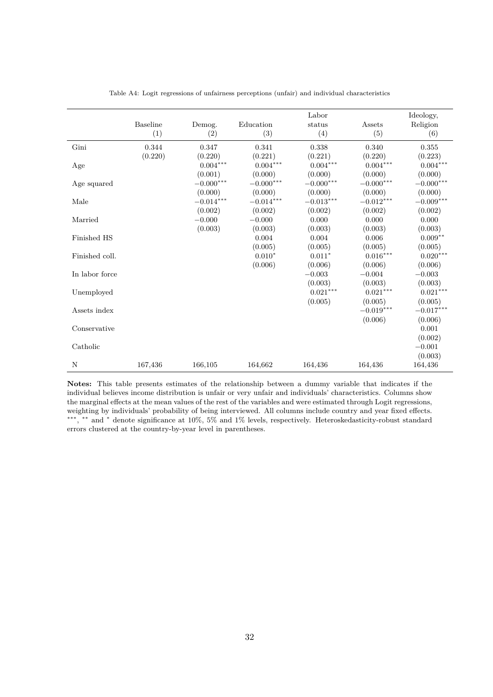<span id="page-31-0"></span>

|                | <b>Baseline</b><br>(1) | Demog.<br>(2)       | Education<br>(3)       | Labor<br>status<br>(4) | Assets<br>(5)          | Ideology,<br>Religion<br>(6) |
|----------------|------------------------|---------------------|------------------------|------------------------|------------------------|------------------------------|
| Gini           | 0.344                  | 0.347               | 0.341                  | 0.338                  | 0.340                  | 0.355                        |
|                | (0.220)                | (0.220)             | (0.221)                | (0.221)                | (0.220)                | (0.223)                      |
| Age            |                        | $0.004***$          | $0.004^{\ast\ast\ast}$ | $0.004***$             | $0.004^{***}\,$        | $0.004***$                   |
|                |                        | (0.001)             | (0.000)                | (0.000)                | (0.000)                | (0.000)                      |
| Age squared    |                        | $-0.000***$         | $-0.000***$            | $-0.000***$            | $-0.000***$            | $-0.000***$                  |
|                |                        | (0.000)             | (0.000)                | (0.000)                | (0.000)                | (0.000)                      |
| Male           |                        | $-0.014***$         | $-0.014***$            | $-0.013***$            | $-0.012***$            | $-0.009***$                  |
| Married        |                        | (0.002)<br>$-0.000$ | (0.002)<br>$-0.000$    | (0.002)<br>0.000       | (0.002)<br>0.000       | (0.002)<br>0.000             |
|                |                        | (0.003)             | (0.003)                | (0.003)                | (0.003)                | (0.003)                      |
| Finished HS    |                        |                     | 0.004                  | 0.004                  | 0.006                  | $0.009**$                    |
|                |                        |                     | (0.005)                | (0.005)                | (0.005)                | (0.005)                      |
| Finished coll. |                        |                     | $0.010*$               | $0.011*$               | $0.016^{\ast\ast\ast}$ | $0.020^{\ast\ast\ast}$       |
|                |                        |                     | (0.006)                | (0.006)                | (0.006)                | (0.006)                      |
| In labor force |                        |                     |                        | $-0.003$               | $-0.004$               | $-0.003$                     |
|                |                        |                     |                        | (0.003)                | (0.003)                | (0.003)                      |
| Unemployed     |                        |                     |                        | $0.021^{\ast\ast\ast}$ | $0.021^{\ast\ast\ast}$ | $0.021^{\ast\ast\ast}$       |
|                |                        |                     |                        | (0.005)                | (0.005)                | (0.005)                      |
| Assets index   |                        |                     |                        |                        | $-0.019^{***}\,$       | $-0.017***$                  |
|                |                        |                     |                        |                        | (0.006)                | (0.006)                      |
| Conservative   |                        |                     |                        |                        |                        | 0.001                        |
|                |                        |                     |                        |                        |                        | (0.002)                      |
| Catholic       |                        |                     |                        |                        |                        | $-0.001$                     |
|                |                        |                     |                        |                        |                        | (0.003)                      |
| N              | 167,436                | 166,105             | 164,662                | 164,436                | 164,436                | 164,436                      |

Table A4: Logit regressions of unfairness perceptions (unfair) and individual characteristics

**Notes:** This table presents estimates of the relationship between a dummy variable that indicates if the individual believes income distribution is unfair or very unfair and individuals' characteristics. Columns show the marginal effects at the mean values of the rest of the variables and were estimated through Logit regressions, weighting by individuals' probability of being interviewed. All columns include country and year fixed effects. ∗∗∗ , ∗∗ and <sup>∗</sup> denote significance at 10%, 5% and 1% levels, respectively. Heteroskedasticity-robust standard errors clustered at the country-by-year level in parentheses.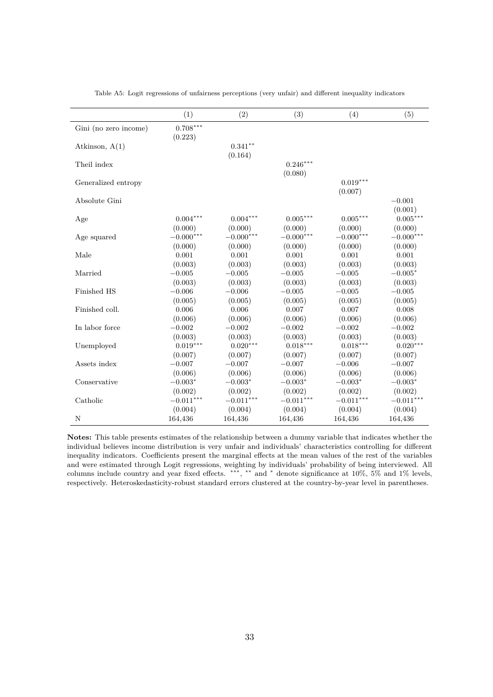<span id="page-32-0"></span>

|                       | (1)                   | (2)                   | (3)                   | (4)                   | (5)                 |
|-----------------------|-----------------------|-----------------------|-----------------------|-----------------------|---------------------|
| Gini (no zero income) | $0.708***$<br>(0.223) |                       |                       |                       |                     |
| Atkinson, $A(1)$      |                       | $0.341***$<br>(0.164) |                       |                       |                     |
| Theil index           |                       |                       | $0.246***$<br>(0.080) |                       |                     |
| Generalized entropy   |                       |                       |                       | $0.019***$<br>(0.007) |                     |
| Absolute Gini         |                       |                       |                       |                       | $-0.001$<br>(0.001) |
| Age                   | $0.004***$            | $0.004***$            | $0.005***$            | $0.005***$            | $0.005^{***}\,$     |
|                       | (0.000)               | (0.000)               | (0.000)               | (0.000)               | (0.000)             |
| Age squared           | $-0.000***$           | $-0.000***$           | $-0.000***$           | $-0.000***$           | $-0.000***$         |
|                       | (0.000)               | (0.000)               | (0.000)               | (0.000)               | (0.000)             |
| Male                  | 0.001                 | 0.001                 | 0.001                 | 0.001                 | 0.001               |
|                       | (0.003)               | (0.003)               | (0.003)               | (0.003)               | (0.003)             |
| Married               | $-0.005$              | $-0.005$              | $-0.005$              | $-0.005$              | $-0.005*$           |
|                       | (0.003)               | (0.003)               | (0.003)               | (0.003)               | (0.003)             |
| Finished HS           | $-0.006$              | $-0.006$              | $-0.005$              | $-0.005$              | $-0.005$            |
|                       | (0.005)               | (0.005)               | (0.005)               | (0.005)               | (0.005)             |
| Finished coll.        | 0.006                 | 0.006                 | 0.007                 | 0.007                 | 0.008               |
|                       | (0.006)               | (0.006)               | (0.006)               | (0.006)               | (0.006)             |
| In labor force        | $-0.002$              | $-0.002$              | $-0.002$              | $-0.002$              | $-0.002$            |
|                       | (0.003)               | (0.003)               | (0.003)               | (0.003)               | (0.003)             |
| Unemployed            | $0.019***$            | $0.020***$            | $0.018***$            | $0.018***$            | $0.020***$          |
|                       | (0.007)               | (0.007)               | (0.007)               | (0.007)               | (0.007)             |
| Assets index          | $-0.007$              | $-0.007$              | $-0.007$              | $-0.006$              | $-0.007$            |
|                       | (0.006)               | (0.006)               | (0.006)               | (0.006)               | (0.006)             |
| Conservative          | $-0.003*$             | $-0.003*$             | $-0.003*$             | $-0.003*$             | $-0.003*$           |
|                       | (0.002)               | (0.002)               | (0.002)               | (0.002)               | (0.002)             |
| Catholic              | $-0.011***$           | $-0.011***$           | $-0.011***$           | $-0.011***$           | $-0.011***$         |
|                       | (0.004)               | (0.004)               | (0.004)               | (0.004)               | (0.004)             |
| N                     | 164,436               | 164,436               | 164,436               | 164,436               | 164,436             |

Table A5: Logit regressions of unfairness perceptions (very unfair) and different inequality indicators

**Notes:** This table presents estimates of the relationship between a dummy variable that indicates whether the individual believes income distribution is very unfair and individuals' characteristics controlling for different inequality indicators. Coefficients present the marginal effects at the mean values of the rest of the variables and were estimated through Logit regressions, weighting by individuals' probability of being interviewed. All columns include country and year fixed effects. ∗∗∗ , ∗∗ and <sup>∗</sup> denote significance at 10%, 5% and 1% levels, respectively. Heteroskedasticity-robust standard errors clustered at the country-by-year level in parentheses.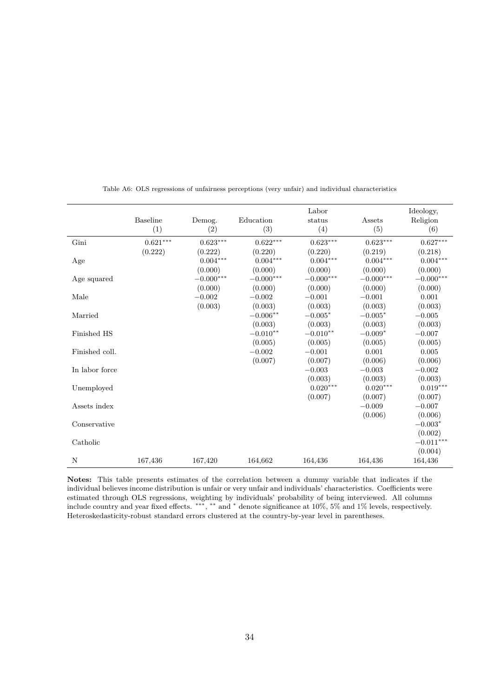<span id="page-33-0"></span>

|                | <b>Baseline</b><br>(1) | Demog.<br>(2)                         | Education<br>(3)                 | Labor<br>status<br>(4)           | Assets<br>(5)                    | Ideology,<br>Religion<br>(6)     |
|----------------|------------------------|---------------------------------------|----------------------------------|----------------------------------|----------------------------------|----------------------------------|
| Gini           | $0.621^{\ast\ast\ast}$ | $0.623^{\ast\ast\ast}$                | $0.622***$                       | $0.623***$                       | $0.623***$                       | $0.627***$                       |
| Age            | (0.222)                | (0.222)<br>$0.004^{***}\,$<br>(0.000) | (0.220)<br>$0.004***$<br>(0.000) | (0.220)<br>$0.004***$<br>(0.000) | (0.219)<br>$0.004***$<br>(0.000) | (0.218)<br>$0.004***$<br>(0.000) |
| Age squared    |                        | $-0.000***$                           | $-0.000^{***}\,$                 | $-0.000***$                      | $-0.000***$                      | $-0.000***$                      |
| Male           |                        | (0.000)<br>$-0.002$<br>(0.003)        | (0.000)<br>$-0.002$<br>(0.003)   | (0.000)<br>$-0.001$<br>(0.003)   | (0.000)<br>$-0.001$<br>(0.003)   | (0.000)<br>0.001<br>(0.003)      |
| Married        |                        |                                       | $-0.006**$<br>(0.003)            | $-0.005*$<br>(0.003)             | $-0.005*$<br>(0.003)             | $-0.005$<br>(0.003)              |
| Finished HS    |                        |                                       | $-0.010**$                       | $-0.010**$                       | $-0.009*$                        | $-0.007$                         |
| Finished coll. |                        |                                       | (0.005)<br>$-0.002$              | (0.005)<br>$-0.001$<br>(0.007)   | (0.005)<br>0.001<br>(0.006)      | (0.005)<br>0.005<br>(0.006)      |
| In labor force |                        |                                       | (0.007)                          | $-0.003$                         | $-0.003$                         | $-0.002$                         |
| Unemployed     |                        |                                       |                                  | (0.003)<br>$0.020***$            | (0.003)<br>$0.020***$            | (0.003)<br>$0.019***$            |
| Assets index   |                        |                                       |                                  | (0.007)                          | (0.007)<br>$-0.009$              | (0.007)<br>$-0.007$              |
| Conservative   |                        |                                       |                                  |                                  | (0.006)                          | (0.006)<br>$-0.003*$             |
| Catholic       |                        |                                       |                                  |                                  |                                  | (0.002)<br>$-0.011***$           |
| N              | 167,436                | 167,420                               | 164,662                          | 164,436                          | 164,436                          | (0.004)<br>164,436               |

Table A6: OLS regressions of unfairness perceptions (very unfair) and individual characteristics

**Notes:** This table presents estimates of the correlation between a dummy variable that indicates if the individual believes income distribution is unfair or very unfair and individuals' characteristics. Coefficients were estimated through OLS regressions, weighting by individuals' probability of being interviewed. All columns include country and year fixed effects. ∗∗∗ , ∗∗ and <sup>∗</sup> denote significance at 10%, 5% and 1% levels, respectively. Heteroskedasticity-robust standard errors clustered at the country-by-year level in parentheses.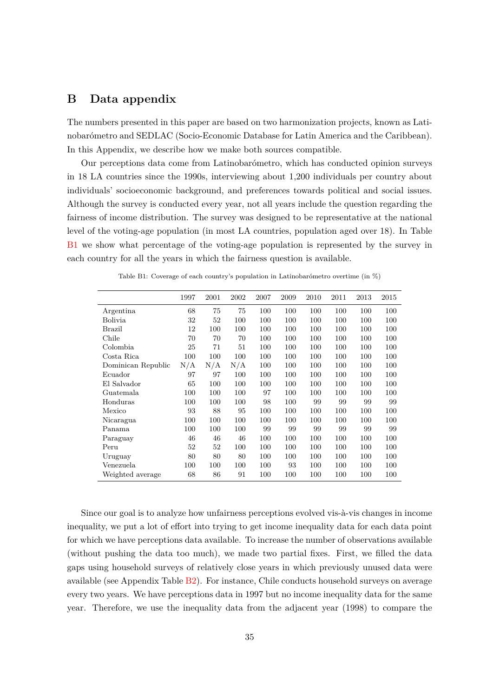## <span id="page-34-1"></span>**B Data appendix**

The numbers presented in this paper are based on two harmonization projects, known as Latinobarómetro and SEDLAC (Socio-Economic Database for Latin America and the Caribbean). In this Appendix, we describe how we make both sources compatible.

Our perceptions data come from Latinobarómetro, which has conducted opinion surveys in 18 LA countries since the 1990s, interviewing about 1,200 individuals per country about individuals' socioeconomic background, and preferences towards political and social issues. Although the survey is conducted every year, not all years include the question regarding the fairness of income distribution. The survey was designed to be representative at the national level of the voting-age population (in most LA countries, population aged over 18). In Table [B1](#page-34-0) we show what percentage of the voting-age population is represented by the survey in each country for all the years in which the fairness question is available.

<span id="page-34-0"></span>

|                    | 1997 | 2001 | 2002 | 2007 | 2009 | 2010 | 2011 | 2013 | 2015 |
|--------------------|------|------|------|------|------|------|------|------|------|
| Argentina          | 68   | 75   | 75   | 100  | 100  | 100  | 100  | 100  | 100  |
| Bolivia            | 32   | 52   | 100  | 100  | 100  | 100  | 100  | 100  | 100  |
| Brazil             | 12   | 100  | 100  | 100  | 100  | 100  | 100  | 100  | 100  |
| Chile              | 70   | 70   | 70   | 100  | 100  | 100  | 100  | 100  | 100  |
| Colombia           | 25   | 71   | 51   | 100  | 100  | 100  | 100  | 100  | 100  |
| Costa Rica         | 100  | 100  | 100  | 100  | 100  | 100  | 100  | 100  | 100  |
| Dominican Republic | N/A  | N/A  | N/A  | 100  | 100  | 100  | 100  | 100  | 100  |
| Ecuador            | 97   | 97   | 100  | 100  | 100  | 100  | 100  | 100  | 100  |
| El Salvador        | 65   | 100  | 100  | 100  | 100  | 100  | 100  | 100  | 100  |
| Guatemala          | 100  | 100  | 100  | 97   | 100  | 100  | 100  | 100  | 100  |
| Honduras           | 100  | 100  | 100  | 98   | 100  | 99   | 99   | 99   | 99   |
| Mexico             | 93   | 88   | 95   | 100  | 100  | 100  | 100  | 100  | 100  |
| Nicaragua          | 100  | 100  | 100  | 100  | 100  | 100  | 100  | 100  | 100  |
| Panama             | 100  | 100  | 100  | 99   | 99   | 99   | 99   | 99   | 99   |
| Paraguay           | 46   | 46   | 46   | 100  | 100  | 100  | 100  | 100  | 100  |
| Peru               | 52   | 52   | 100  | 100  | 100  | 100  | 100  | 100  | 100  |
| Uruguay            | 80   | 80   | 80   | 100  | 100  | 100  | 100  | 100  | 100  |
| Venezuela          | 100  | 100  | 100  | 100  | 93   | 100  | 100  | 100  | 100  |
| Weighted average   | 68   | 86   | 91   | 100  | 100  | 100  | 100  | 100  | 100  |

Table B1: Coverage of each country's population in Latinobarómetro overtime (in %)

Since our goal is to analyze how unfairness perceptions evolved vis-à-vis changes in income inequality, we put a lot of effort into trying to get income inequality data for each data point for which we have perceptions data available. To increase the number of observations available (without pushing the data too much), we made two partial fixes. First, we filled the data gaps using household surveys of relatively close years in which previously unused data were available (see Appendix Table  $B2$ ). For instance, Chile conducts household surveys on average every two years. We have perceptions data in 1997 but no income inequality data for the same year. Therefore, we use the inequality data from the adjacent year (1998) to compare the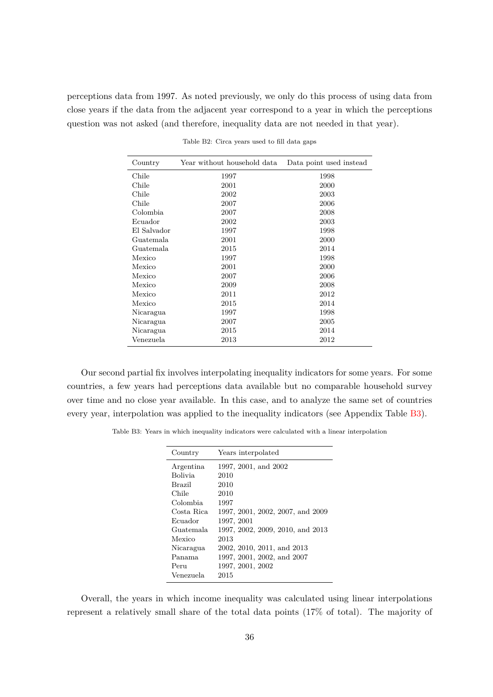<span id="page-35-0"></span>perceptions data from 1997. As noted previously, we only do this process of using data from close years if the data from the adjacent year correspond to a year in which the perceptions question was not asked (and therefore, inequality data are not needed in that year).

| Country     | Year without household data | Data point used instead |
|-------------|-----------------------------|-------------------------|
| Chile       | 1997                        | 1998                    |
| Chile       | 2001                        | 2000                    |
| Chile       | 2002                        | 2003                    |
| Chile       | 2007                        | 2006                    |
| Colombia    | 2007                        | 2008                    |
| Ecuador     | 2002                        | 2003                    |
| El Salvador | 1997                        | 1998                    |
| Guatemala   | 2001                        | 2000                    |
| Guatemala   | 2015                        | 2014                    |
| Mexico      | 1997                        | 1998                    |
| Mexico      | 2001                        | 2000                    |
| Mexico      | 2007                        | 2006                    |
| Mexico      | 2009                        | 2008                    |
| Mexico      | 2011                        | 2012                    |
| Mexico      | 2015                        | 2014                    |
| Nicaragua   | 1997                        | 1998                    |
| Nicaragua   | 2007                        | 2005                    |
| Nicaragua   | 2015                        | 2014                    |
| Venezuela   | 2013                        | 2012                    |

Table B2: Circa years used to fill data gaps

Our second partial fix involves interpolating inequality indicators for some years. For some countries, a few years had perceptions data available but no comparable household survey over time and no close year available. In this case, and to analyze the same set of countries every year, interpolation was applied to the inequality indicators (see Appendix Table [B3\)](#page-35-1).

<span id="page-35-1"></span>Table B3: Years in which inequality indicators were calculated with a linear interpolation

| Country    | Years interpolated               |  |
|------------|----------------------------------|--|
| Argentina  | 1997, 2001, and 2002             |  |
| Bolivia.   | 2010                             |  |
| Brazil     | 2010                             |  |
| Chile      | 2010                             |  |
| Colombia   | 1997                             |  |
| Costa Rica | 1997, 2001, 2002, 2007, and 2009 |  |
| Ecuador    | 1997, 2001                       |  |
| Guatemala  | 1997, 2002, 2009, 2010, and 2013 |  |
| Mexico     | 2013                             |  |
| Nicaragua  | 2002, 2010, 2011, and 2013       |  |
| Panama     | 1997, 2001, 2002, and 2007       |  |
| Peru       | 1997, 2001, 2002                 |  |
| Venezuela  | 2015                             |  |
|            |                                  |  |

Overall, the years in which income inequality was calculated using linear interpolations represent a relatively small share of the total data points (17% of total). The majority of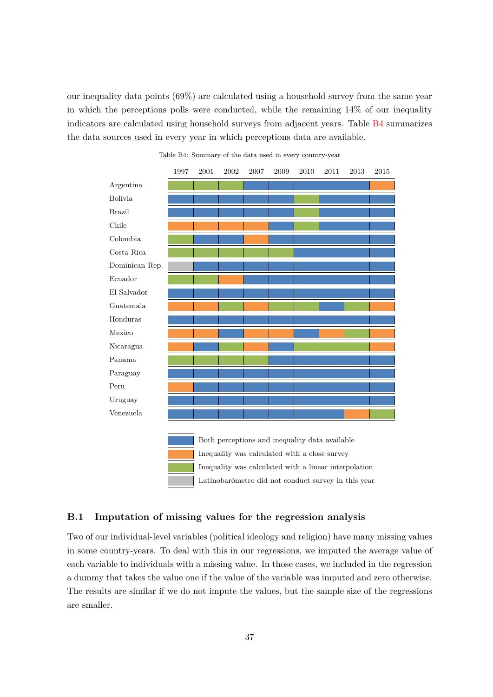our inequality data points (69%) are calculated using a household survey from the same year in which the perceptions polls were conducted, while the remaining  $14\%$  of our inequality indicators are calculated using household surveys from adjacent years. Table [B4](#page-36-0) summarizes the data sources used in every year in which perceptions data are available.

<span id="page-36-0"></span>

Table B4: Summary of the data used in every country-year



### **B.1 Imputation of missing values for the regression analysis**

Two of our individual-level variables (political ideology and religion) have many missing values in some country-years. To deal with this in our regressions, we imputed the average value of each variable to individuals with a missing value. In those cases, we included in the regression a dummy that takes the value one if the value of the variable was imputed and zero otherwise. The results are similar if we do not impute the values, but the sample size of the regressions are smaller.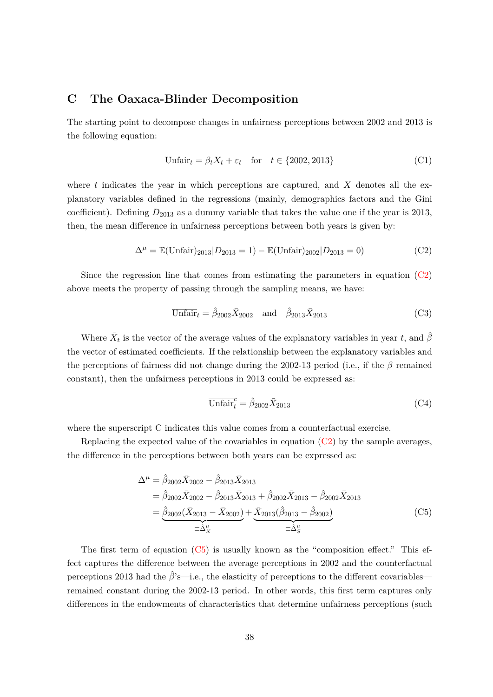## <span id="page-37-0"></span>**C The Oaxaca-Blinder Decomposition**

The starting point to decompose changes in unfairness perceptions between 2002 and 2013 is the following equation:

$$
Unfairt = \beta_t X_t + \varepsilon_t \quad \text{for} \quad t \in \{2002, 2013\} \tag{C1}
$$

where *t* indicates the year in which perceptions are captured, and *X* denotes all the explanatory variables defined in the regressions (mainly, demographics factors and the Gini coefficient). Defining *D*<sup>2013</sup> as a dummy variable that takes the value one if the year is 2013, then, the mean difference in unfairness perceptions between both years is given by:

$$
\Delta^{\mu} = \mathbb{E}(\text{Unfair})_{2013} | D_{2013} = 1) - \mathbb{E}(\text{Unfair})_{2002} | D_{2013} = 0)
$$
 (C2)

Since the regression line that comes from estimating the parameters in equation  $(C2)$ above meets the property of passing through the sampling means, we have:

<span id="page-37-1"></span>
$$
\overline{\text{Unfair}}_t = \hat{\beta}_{2002} \bar{X}_{2002} \quad \text{and} \quad \hat{\beta}_{2013} \bar{X}_{2013} \tag{C3}
$$

Where  $\bar{X}_t$  is the vector of the average values of the explanatory variables in year *t*, and  $\hat{\beta}$ the vector of estimated coefficients. If the relationship between the explanatory variables and the perceptions of fairness did not change during the 2002-13 period (i.e., if the *β* remained constant), then the unfairness perceptions in 2013 could be expressed as:

<span id="page-37-2"></span>
$$
\overline{\text{Unfair}}_t^c = \hat{\beta}_{2002} \overline{X}_{2013} \tag{C4}
$$

where the superscript C indicates this value comes from a counterfactual exercise.

Replacing the expected value of the covariables in equation  $(C2)$  by the sample averages, the difference in the perceptions between both years can be expressed as:

$$
\Delta^{\mu} = \hat{\beta}_{2002} \bar{X}_{2002} - \hat{\beta}_{2013} \bar{X}_{2013} \n= \hat{\beta}_{2002} \bar{X}_{2002} - \hat{\beta}_{2013} \bar{X}_{2013} + \hat{\beta}_{2002} \bar{X}_{2013} - \hat{\beta}_{2002} \bar{X}_{2013} \n= \underbrace{\hat{\beta}_{2002} (\bar{X}_{2013} - \bar{X}_{2002})}_{\equiv \hat{\Delta}'_X} + \underbrace{\bar{X}_{2013} (\hat{\beta}_{2013} - \hat{\beta}_{2002})}_{\equiv \hat{\Delta}'_S}
$$
\n(C5)

The first term of equation [\(C5\)](#page-37-2) is usually known as the "composition effect." This effect captures the difference between the average perceptions in 2002 and the counterfactual perceptions 2013 had the  $\hat{\beta}$ 's—i.e., the elasticity of perceptions to the different covariables remained constant during the 2002-13 period. In other words, this first term captures only differences in the endowments of characteristics that determine unfairness perceptions (such